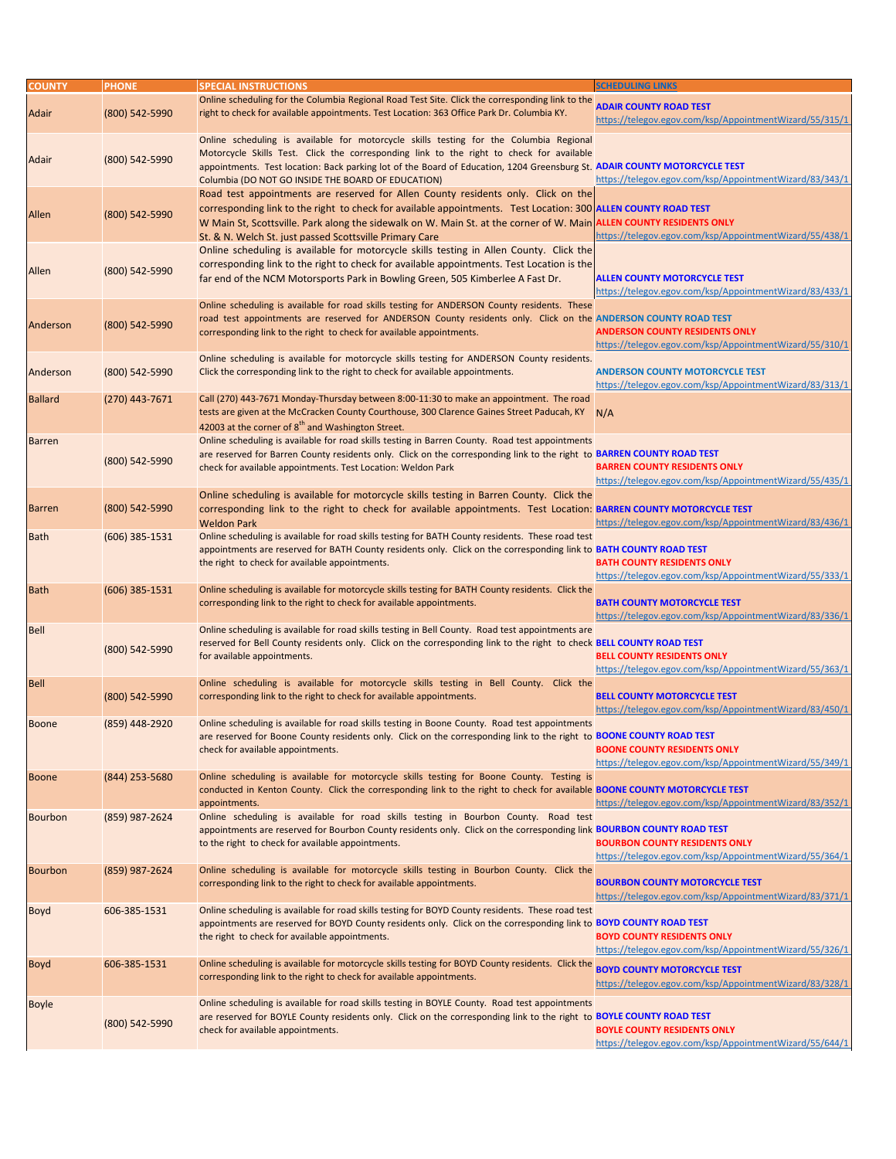| <b>COUNTY</b>  | <b>PHONE</b>     | <b>SPECIAL INSTRUCTIONS</b>                                                                                                                                                                                                                                                                                                                                                           | <b>SCHEDULING LINKS</b>                                                                           |
|----------------|------------------|---------------------------------------------------------------------------------------------------------------------------------------------------------------------------------------------------------------------------------------------------------------------------------------------------------------------------------------------------------------------------------------|---------------------------------------------------------------------------------------------------|
| <b>Adair</b>   | (800) 542-5990   | Online scheduling for the Columbia Regional Road Test Site. Click the corresponding link to the<br>right to check for available appointments. Test Location: 363 Office Park Dr. Columbia KY.                                                                                                                                                                                         | <b>ADAIR COUNTY ROAD TEST</b><br>https://telegov.egov.com/ksp/AppointmentWizard/55/315/1          |
| Adair          | (800) 542-5990   | Online scheduling is available for motorcycle skills testing for the Columbia Regional<br>Motorcycle Skills Test. Click the corresponding link to the right to check for available<br>appointments. Test location: Back parking lot of the Board of Education, 1204 Greensburg St. ADAIR COUNTY MOTORCYCLE TEST<br>Columbia (DO NOT GO INSIDE THE BOARD OF EDUCATION)                 | https://telegov.egov.com/ksp/AppointmentWizard/83/343/1                                           |
| <b>Allen</b>   | (800) 542-5990   | Road test appointments are reserved for Allen County residents only. Click on the<br>corresponding link to the right to check for available appointments. Test Location: 300 ALLEN COUNTY ROAD TEST<br>W Main St, Scottsville. Park along the sidewalk on W. Main St. at the corner of W. Main ALLEN COUNTY RESIDENTS ONLY<br>St. & N. Welch St. just passed Scottsville Primary Care | https://telegov.egov.com/ksp/AppointmentWizard/55/438/1                                           |
| Allen          | (800) 542-5990   | Online scheduling is available for motorcycle skills testing in Allen County. Click the<br>corresponding link to the right to check for available appointments. Test Location is the<br>far end of the NCM Motorsports Park in Bowling Green, 505 Kimberlee A Fast Dr.                                                                                                                | <b>ALLEN COUNTY MOTORCYCLE TEST</b><br>https://telegov.egov.com/ksp/AppointmentWizard/83/433/1    |
| Anderson       | (800) 542-5990   | Online scheduling is available for road skills testing for ANDERSON County residents. These<br>road test appointments are reserved for ANDERSON County residents only. Click on the ANDERSON COUNTY ROAD TEST<br>corresponding link to the right to check for available appointments.                                                                                                 | <b>ANDERSON COUNTY RESIDENTS ONLY</b><br>https://telegov.egov.com/ksp/AppointmentWizard/55/310/1  |
| Anderson       | (800) 542-5990   | Online scheduling is available for motorcycle skills testing for ANDERSON County residents.<br>Click the corresponding link to the right to check for available appointments.                                                                                                                                                                                                         | <b>ANDERSON COUNTY MOTORCYCLE TEST</b><br>https://telegov.egov.com/ksp/AppointmentWizard/83/313/1 |
| <b>Ballard</b> | (270) 443-7671   | Call (270) 443-7671 Monday-Thursday between 8:00-11:30 to make an appointment. The road<br>tests are given at the McCracken County Courthouse, 300 Clarence Gaines Street Paducah, KY                                                                                                                                                                                                 | N/A                                                                                               |
| <b>Barren</b>  | (800) 542-5990   | 42003 at the corner of 8 <sup>th</sup> and Washington Street.<br>Online scheduling is available for road skills testing in Barren County. Road test appointments<br>are reserved for Barren County residents only. Click on the corresponding link to the right to BARREN COUNTY ROAD TEST<br>check for available appointments. Test Location: Weldon Park                            | <b>BARREN COUNTY RESIDENTS ONLY</b><br>https://telegov.egov.com/ksp/AppointmentWizard/55/435/1    |
| <b>Barren</b>  | (800) 542-5990   | Online scheduling is available for motorcycle skills testing in Barren County. Click the<br>corresponding link to the right to check for available appointments. Test Location: BARREN COUNTY MOTORCYCLE TEST<br><b>Weldon Park</b>                                                                                                                                                   | https://telegov.egov.com/ksp/AppointmentWizard/83/436/1                                           |
| <b>Bath</b>    | $(606)$ 385-1531 | Online scheduling is available for road skills testing for BATH County residents. These road test<br>appointments are reserved for BATH County residents only. Click on the corresponding link to BATH COUNTY ROAD TEST<br>the right to check for available appointments.                                                                                                             | <b>BATH COUNTY RESIDENTS ONLY</b><br>https://telegov.egov.com/ksp/AppointmentWizard/55/333/1      |
| <b>Bath</b>    | $(606)$ 385-1531 | Online scheduling is available for motorcycle skills testing for BATH County residents. Click the<br>corresponding link to the right to check for available appointments.                                                                                                                                                                                                             | <b>BATH COUNTY MOTORCYCLE TEST</b><br>https://telegov.egov.com/ksp/AppointmentWizard/83/336/1     |
| <b>Bell</b>    | (800) 542-5990   | Online scheduling is available for road skills testing in Bell County. Road test appointments are<br>reserved for Bell County residents only. Click on the corresponding link to the right to check BELL COUNTY ROAD TEST<br>for available appointments.                                                                                                                              | <b>BELL COUNTY RESIDENTS ONLY</b><br>https://telegov.egov.com/ksp/AppointmentWizard/55/363/1      |
| Bell           | (800) 542-5990   | Online scheduling is available for motorcycle skills testing in Bell County. Click the<br>corresponding link to the right to check for available appointments.                                                                                                                                                                                                                        | <b>BELL COUNTY MOTORCYCLE TEST</b><br>https://telegov.egov.com/ksp/AppointmentWizard/83/450/1     |
| <b>Boone</b>   | (859) 448-2920   | Online scheduling is available for road skills testing in Boone County. Road test appointments<br>are reserved for Boone County residents only. Click on the corresponding link to the right to BOONE COUNTY ROAD TEST<br>check for available appointments.                                                                                                                           | <b>BOONE COUNTY RESIDENTS ONLY</b><br>https://telegov.egov.com/ksp/AppointmentWizard/55/349/1     |
| <b>Boone</b>   | (844) 253-5680   | Online scheduling is available for motorcycle skills testing for Boone County. Testing is<br>conducted in Kenton County. Click the corresponding link to the right to check for available <b>BOONE COUNTY MOTORCYCLE TEST</b><br>appointments.                                                                                                                                        | https://telegov.egov.com/ksp/AppointmentWizard/83/352/1                                           |
| <b>Bourbon</b> | (859) 987-2624   | Online scheduling is available for road skills testing in Bourbon County. Road test                                                                                                                                                                                                                                                                                                   |                                                                                                   |

| https://telegov.egov.com/ksp/AppointmentWizard/55/364/1 |
|---------------------------------------------------------|
|                                                         |
|                                                         |
| https://telegov.egov.com/ksp/AppointmentWizard/83/371/1 |
|                                                         |
|                                                         |
|                                                         |
| https://telegov.egov.com/ksp/AppointmentWizard/55/326/1 |
|                                                         |
|                                                         |
| https://telegov.egov.com/ksp/AppointmentWizard/83/328/1 |
|                                                         |
|                                                         |
|                                                         |
| https://telegov.egov.com/ksp/AppointmentWizard/55/644/1 |
|                                                         |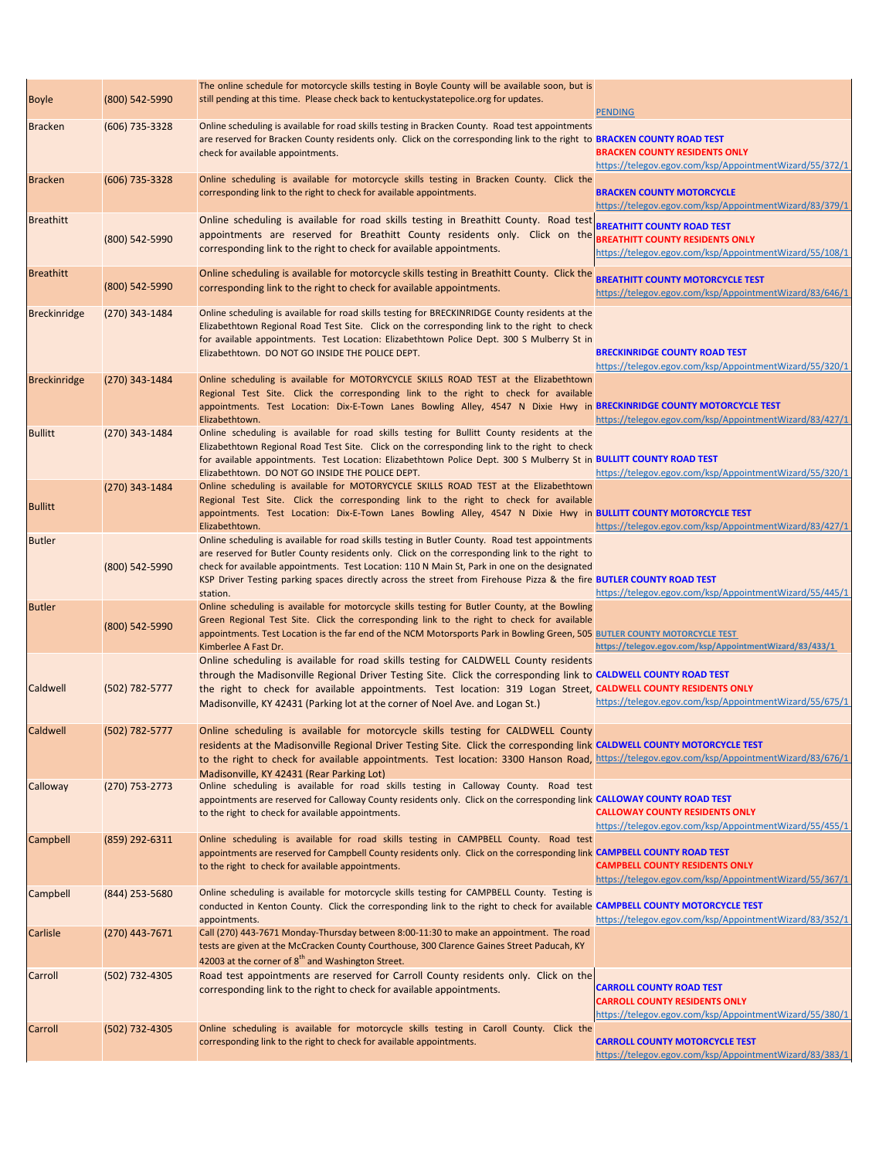| <b>Boyle</b>        | (800) 542-5990   | The online schedule for motorcycle skills testing in Boyle County will be available soon, but is<br>still pending at this time. Please check back to kentuckystatepolice.org for updates.                                                                                                                                                                                                                                              | <b>PENDING</b>                                                                                                                         |
|---------------------|------------------|----------------------------------------------------------------------------------------------------------------------------------------------------------------------------------------------------------------------------------------------------------------------------------------------------------------------------------------------------------------------------------------------------------------------------------------|----------------------------------------------------------------------------------------------------------------------------------------|
| <b>Bracken</b>      | (606) 735-3328   | Online scheduling is available for road skills testing in Bracken County. Road test appointments<br>are reserved for Bracken County residents only. Click on the corresponding link to the right to BRACKEN COUNTY ROAD TEST<br>check for available appointments.                                                                                                                                                                      | <b>BRACKEN COUNTY RESIDENTS ONLY</b><br>https://telegov.egov.com/ksp/AppointmentWizard/55/372/1                                        |
| <b>Bracken</b>      | $(606)$ 735-3328 | Online scheduling is available for motorcycle skills testing in Bracken County. Click the<br>corresponding link to the right to check for available appointments.                                                                                                                                                                                                                                                                      | <b>BRACKEN COUNTY MOTORCYCLE</b><br>https://telegov.egov.com/ksp/AppointmentWizard/83/379/1                                            |
| <b>Breathitt</b>    | (800) 542-5990   | Online scheduling is available for road skills testing in Breathitt County. Road test<br>appointments are reserved for Breathitt County residents only. Click on the<br>corresponding link to the right to check for available appointments.                                                                                                                                                                                           | <b>BREATHITT COUNTY ROAD TEST</b><br><b>BREATHITT COUNTY RESIDENTS ONLY</b><br>https://telegov.egov.com/ksp/AppointmentWizard/55/108/1 |
| <b>Breathitt</b>    | (800) 542-5990   | Online scheduling is available for motorcycle skills testing in Breathitt County. Click the<br>corresponding link to the right to check for available appointments.                                                                                                                                                                                                                                                                    | <b>BREATHITT COUNTY MOTORCYCLE TEST</b><br>https://telegov.egov.com/ksp/AppointmentWizard/83/646/1                                     |
| Breckinridge        | $(270)$ 343-1484 | Online scheduling is available for road skills testing for BRECKINRIDGE County residents at the<br>Elizabethtown Regional Road Test Site. Click on the corresponding link to the right to check<br>for available appointments. Test Location: Elizabethtown Police Dept. 300 S Mulberry St in<br>Elizabethtown. DO NOT GO INSIDE THE POLICE DEPT.                                                                                      | <b>BRECKINRIDGE COUNTY ROAD TEST</b><br>https://telegov.egov.com/ksp/AppointmentWizard/55/320/1                                        |
| <b>Breckinridge</b> | $(270)$ 343-1484 | Online scheduling is available for MOTORYCYCLE SKILLS ROAD TEST at the Elizabethtown<br>Regional Test Site. Click the corresponding link to the right to check for available<br>appointments. Test Location: Dix-E-Town Lanes Bowling Alley, 4547 N Dixie Hwy in BRECKINRIDGE COUNTY MOTORCYCLE TEST<br>Elizabethtown.                                                                                                                 | https://telegov.egov.com/ksp/AppointmentWizard/83/427/1                                                                                |
| <b>Bullitt</b>      | $(270)$ 343-1484 | Online scheduling is available for road skills testing for Bullitt County residents at the<br>Elizabethtown Regional Road Test Site. Click on the corresponding link to the right to check<br>for available appointments. Test Location: Elizabethtown Police Dept. 300 S Mulberry St in BULLITT COUNTY ROAD TEST<br>Elizabethtown. DO NOT GO INSIDE THE POLICE DEPT.                                                                  | https://telegov.egov.com/ksp/AppointmentWizard/55/320/1                                                                                |
| <b>Bullitt</b>      | $(270)$ 343-1484 | Online scheduling is available for MOTORYCYCLE SKILLS ROAD TEST at the Elizabethtown<br>Regional Test Site. Click the corresponding link to the right to check for available<br>appointments. Test Location: Dix-E-Town Lanes Bowling Alley, 4547 N Dixie Hwy in BULLITT COUNTY MOTORCYCLE TEST<br>Elizabethtown.                                                                                                                      | https://telegov.egov.com/ksp/AppointmentWizard/83/427/1                                                                                |
| <b>Butler</b>       | (800) 542-5990   | Online scheduling is available for road skills testing in Butler County. Road test appointments<br>are reserved for Butler County residents only. Click on the corresponding link to the right to<br>check for available appointments. Test Location: 110 N Main St, Park in one on the designated<br>KSP Driver Testing parking spaces directly across the street from Firehouse Pizza & the fire BUTLER COUNTY ROAD TEST<br>station. | https://telegov.egov.com/ksp/AppointmentWizard/55/445/1                                                                                |
| <b>Butler</b>       | (800) 542-5990   | Online scheduling is available for motorcycle skills testing for Butler County, at the Bowling<br>Green Regional Test Site. Click the corresponding link to the right to check for available<br>appointments. Test Location is the far end of the NCM Motorsports Park in Bowling Green, 505 BUTLER COUNTY MOTORCYCLE TEST<br>Kimberlee A Fast Dr.                                                                                     | https://telegov.egov.com/ksp/AppointmentWizard/83/433/1                                                                                |
| Caldwell            | (502) 782-5777   | Online scheduling is available for road skills testing for CALDWELL County residents<br>through the Madisonville Regional Driver Testing Site. Click the corresponding link to CALDWELL COUNTY ROAD TEST<br>the right to check for available appointments. Test location: 319 Logan Street, CALDWELL COUNTY RESIDENTS ONLY<br>Madisonville, KY 42431 (Parking lot at the corner of Noel Ave. and Logan St.)                            | https://telegov.egov.com/ksp/AppointmentWizard/55/675/1                                                                                |
| Caldwell            | (502) 782-5777   | Online scheduling is available for motorcycle skills testing for CALDWELL County<br>residents at the Madisonville Regional Driver Testing Site. Click the corresponding link CALDWELL COUNTY MOTORCYCLE TEST<br>to the right to check for available appointments. Test location: 3300 Hanson Road, https://telegov.egov.com/ksp/AppointmentWizard/83/676/1<br>Madisonville, KY 42431 (Rear Parking Lot)                                |                                                                                                                                        |
| <b>Calloway</b>     | $(270)$ 753-2773 | Online scheduling is available for road skills testing in Calloway County. Road test<br>appointments are reserved for Calloway County residents only. Click on the corresponding link CALLOWAY COUNTY ROAD TEST<br>to the right to check for available appointments.                                                                                                                                                                   | <b>CALLOWAY COUNTY RESIDENTS ONLY</b><br>https://telegov.egov.com/ksp/AppointmentWizard/55/455/1                                       |
| <b>Campbell</b>     | (859) 292-6311   | Online scheduling is available for road skills testing in CAMPBELL County. Road test<br>appointments are reserved for Campbell County residents only. Click on the corresponding link CAMPBELL COUNTY ROAD TEST<br>to the right to check for available appointments.                                                                                                                                                                   | <b>CAMPBELL COUNTY RESIDENTS ONLY</b><br>https://telegov.egov.com/ksp/AppointmentWizard/55/367/1                                       |
| Campbell            | $(844)$ 253-5680 | Online scheduling is available for motorcycle skills testing for CAMPBELL County. Testing is<br>conducted in Kenton County. Click the corresponding link to the right to check for available CAMPBELL COUNTY MOTORCYCLE TEST<br>appointments.                                                                                                                                                                                          | https://telegov.egov.com/ksp/AppointmentWizard/83/352/1                                                                                |
| Carlisle            | $(270)$ 443-7671 | Call (270) 443-7671 Monday-Thursday between 8:00-11:30 to make an appointment. The road<br>tests are given at the McCracken County Courthouse, 300 Clarence Gaines Street Paducah, KY<br>42003 at the corner of 8 <sup>th</sup> and Washington Street.                                                                                                                                                                                 |                                                                                                                                        |
| Carroll             | (502) 732-4305   | Road test appointments are reserved for Carroll County residents only. Click on the<br>corresponding link to the right to check for available appointments.                                                                                                                                                                                                                                                                            | <b>CARROLL COUNTY ROAD TEST</b><br><b>CARROLL COUNTY RESIDENTS ONLY</b><br>https://telegov.egov.com/ksp/AppointmentWizard/55/380/1     |
| Carroll             | (502) 732-4305   | Online scheduling is available for motorcycle skills testing in Caroll County. Click the<br>corresponding link to the right to check for available appointments.                                                                                                                                                                                                                                                                       | <b>CARROLL COUNTY MOTORCYCLE TEST</b><br>https://telegov.egov.com/ksp/AppointmentWizard/83/383/1                                       |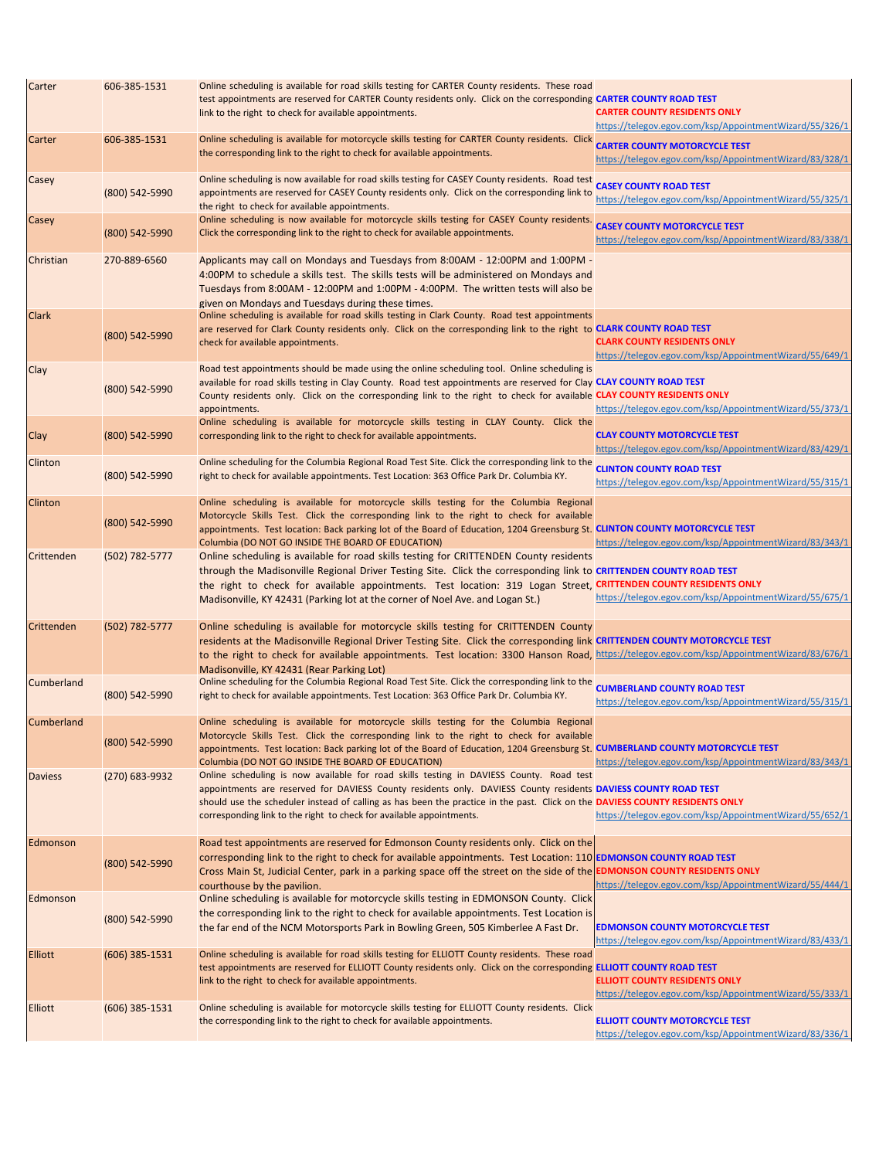| Carter            | 606-385-1531       | Online scheduling is available for road skills testing for CARTER County residents. These road<br>test appointments are reserved for CARTER County residents only. Click on the corresponding CARTER COUNTY ROAD TEST<br>link to the right to check for available appointments.                                                                                                                                   | <b>CARTER COUNTY RESIDENTS ONLY</b>                                                               |
|-------------------|--------------------|-------------------------------------------------------------------------------------------------------------------------------------------------------------------------------------------------------------------------------------------------------------------------------------------------------------------------------------------------------------------------------------------------------------------|---------------------------------------------------------------------------------------------------|
| <b>Carter</b>     | 606-385-1531       | Online scheduling is available for motorcycle skills testing for CARTER County residents. Click                                                                                                                                                                                                                                                                                                                   | https://telegov.egov.com/ksp/AppointmentWizard/55/326/1<br><b>CARTER COUNTY MOTORCYCLE TEST</b>   |
|                   |                    | the corresponding link to the right to check for available appointments.                                                                                                                                                                                                                                                                                                                                          | https://telegov.egov.com/ksp/AppointmentWizard/83/328/1                                           |
| <b>Casey</b>      | (800) 542-5990     | Online scheduling is now available for road skills testing for CASEY County residents. Road test<br>appointments are reserved for CASEY County residents only. Click on the corresponding link to<br>the right to check for available appointments.                                                                                                                                                               | <b>CASEY COUNTY ROAD TEST</b><br>https://telegov.egov.com/ksp/AppointmentWizard/55/325/1          |
| Casey             | (800) 542-5990     | Online scheduling is now available for motorcycle skills testing for CASEY County residents.<br>Click the corresponding link to the right to check for available appointments.                                                                                                                                                                                                                                    | <b>CASEY COUNTY MOTORCYCLE TEST</b><br>https://telegov.egov.com/ksp/AppointmentWizard/83/338/1    |
| Christian         | 270-889-6560       | Applicants may call on Mondays and Tuesdays from 8:00AM - 12:00PM and 1:00PM -<br>4:00PM to schedule a skills test. The skills tests will be administered on Mondays and<br>Tuesdays from 8:00AM - 12:00PM and 1:00PM - 4:00PM. The written tests will also be<br>given on Mondays and Tuesdays during these times.                                                                                               |                                                                                                   |
| <b>Clark</b>      | (800) 542-5990     | Online scheduling is available for road skills testing in Clark County. Road test appointments<br>are reserved for Clark County residents only. Click on the corresponding link to the right to CLARK COUNTY ROAD TEST<br>check for available appointments.                                                                                                                                                       | <b>CLARK COUNTY RESIDENTS ONLY</b><br>https://telegov.egov.com/ksp/AppointmentWizard/55/649/1     |
| <b>Clay</b>       | (800) 542-5990     | Road test appointments should be made using the online scheduling tool. Online scheduling is<br>available for road skills testing in Clay County. Road test appointments are reserved for Clay CLAY COUNTY ROAD TEST<br>County residents only. Click on the corresponding link to the right to check for available CLAY COUNTY RESIDENTS ONLY<br>appointments.                                                    | https://telegov.egov.com/ksp/AppointmentWizard/55/373/1                                           |
| <b>Clay</b>       | (800) 542-5990     | Online scheduling is available for motorcycle skills testing in CLAY County. Click the<br>corresponding link to the right to check for available appointments.                                                                                                                                                                                                                                                    | <b>CLAY COUNTY MOTORCYCLE TEST</b><br>https://telegov.egov.com/ksp/AppointmentWizard/83/429/1     |
| <b>Clinton</b>    | (800) 542-5990     | Online scheduling for the Columbia Regional Road Test Site. Click the corresponding link to the<br>right to check for available appointments. Test Location: 363 Office Park Dr. Columbia KY.                                                                                                                                                                                                                     | <b>CLINTON COUNTY ROAD TEST</b><br>https://telegov.egov.com/ksp/AppointmentWizard/55/315/1        |
| <b>Clinton</b>    | (800) 542-5990     | Online scheduling is available for motorcycle skills testing for the Columbia Regional<br>Motorcycle Skills Test. Click the corresponding link to the right to check for available<br>appointments. Test location: Back parking lot of the Board of Education, 1204 Greensburg St. CLINTON COUNTY MOTORCYCLE TEST<br>Columbia (DO NOT GO INSIDE THE BOARD OF EDUCATION)                                           | https://telegov.egov.com/ksp/AppointmentWizard/83/343/1                                           |
| Crittenden        | (502) 782-5777     | Online scheduling is available for road skills testing for CRITTENDEN County residents<br>through the Madisonville Regional Driver Testing Site. Click the corresponding link to CRITTENDEN COUNTY ROAD TEST<br>the right to check for available appointments. Test location: 319 Logan Street, CRITTENDEN COUNTY RESIDENTS ONLY<br>Madisonville, KY 42431 (Parking lot at the corner of Noel Ave. and Logan St.) | https://telegov.egov.com/ksp/AppointmentWizard/55/675/1                                           |
| Crittenden        | $(502) 782 - 5777$ | Online scheduling is available for motorcycle skills testing for CRITTENDEN County<br>residents at the Madisonville Regional Driver Testing Site. Click the corresponding link CRITTENDEN COUNTY MOTORCYCLE TEST<br>to the right to check for available appointments. Test location: 3300 Hanson Road, https://telegov.egov.com/ksp/AppointmentWizard/83/676/1<br>Madisonville, KY 42431 (Rear Parking Lot)       |                                                                                                   |
| Cumberland        | (800) 542-5990     | Online scheduling for the Columbia Regional Road Test Site. Click the corresponding link to the<br>right to check for available appointments. Test Location: 363 Office Park Dr. Columbia KY.                                                                                                                                                                                                                     | <b>CUMBERLAND COUNTY ROAD TEST</b><br>https://telegov.egov.com/ksp/AppointmentWizard/55/315/1     |
| <b>Cumberland</b> | (800) 542-5990     | Online scheduling is available for motorcycle skills testing for the Columbia Regional<br>Motorcycle Skills Test. Click the corresponding link to the right to check for available<br>appointments. Test location: Back parking lot of the Board of Education, 1204 Greensburg St. CUMBERLAND COUNTY MOTORCYCLE TEST<br>Columbia (DO NOT GO INSIDE THE BOARD OF EDUCATION)                                        | https://telegov.egov.com/ksp/AppointmentWizard/83/343/1                                           |
| <b>Daviess</b>    | $(270)$ 683-9932   | Online scheduling is now available for road skills testing in DAVIESS County. Road test<br>appointments are reserved for DAVIESS County residents only. DAVIESS County residents DAVIESS COUNTY ROAD TEST<br>should use the scheduler instead of calling as has been the practice in the past. Click on the DAVIESS COUNTY RESIDENTS ONLY<br>corresponding link to the right to check for available appointments. | https://telegov.egov.com/ksp/AppointmentWizard/55/652/1                                           |
| Edmonson          | (800) 542-5990     | Road test appointments are reserved for Edmonson County residents only. Click on the<br>corresponding link to the right to check for available appointments. Test Location: 110 EDMONSON COUNTY ROAD TEST<br>Cross Main St, Judicial Center, park in a parking space off the street on the side of the EDMONSON COUNTY RESIDENTS ONLY<br>courthouse by the pavilion.                                              | https://telegov.egov.com/ksp/AppointmentWizard/55/444/1                                           |
| Edmonson          | (800) 542-5990     | Online scheduling is available for motorcycle skills testing in EDMONSON County. Click<br>the corresponding link to the right to check for available appointments. Test Location is<br>the far end of the NCM Motorsports Park in Bowling Green, 505 Kimberlee A Fast Dr.                                                                                                                                         | <b>EDMONSON COUNTY MOTORCYCLE TEST</b><br>https://telegov.egov.com/ksp/AppointmentWizard/83/433/1 |
| <b>Elliott</b>    | $(606)$ 385-1531   | Online scheduling is available for road skills testing for ELLIOTT County residents. These road<br>test appointments are reserved for ELLIOTT County residents only. Click on the corresponding ELLIOTT COUNTY ROAD TEST<br>link to the right to check for available appointments.                                                                                                                                | <b>ELLIOTT COUNTY RESIDENTS ONLY</b><br>https://telegov.egov.com/ksp/AppointmentWizard/55/333/1   |
| <b>Elliott</b>    | $(606)$ 385-1531   | Online scheduling is available for motorcycle skills testing for ELLIOTT County residents. Click<br>the corresponding link to the right to check for available appointments.                                                                                                                                                                                                                                      | <b>ELLIOTT COUNTY MOTORCYCLE TEST</b><br>https://telegov.egov.com/ksp/AppointmentWizard/83/336/1  |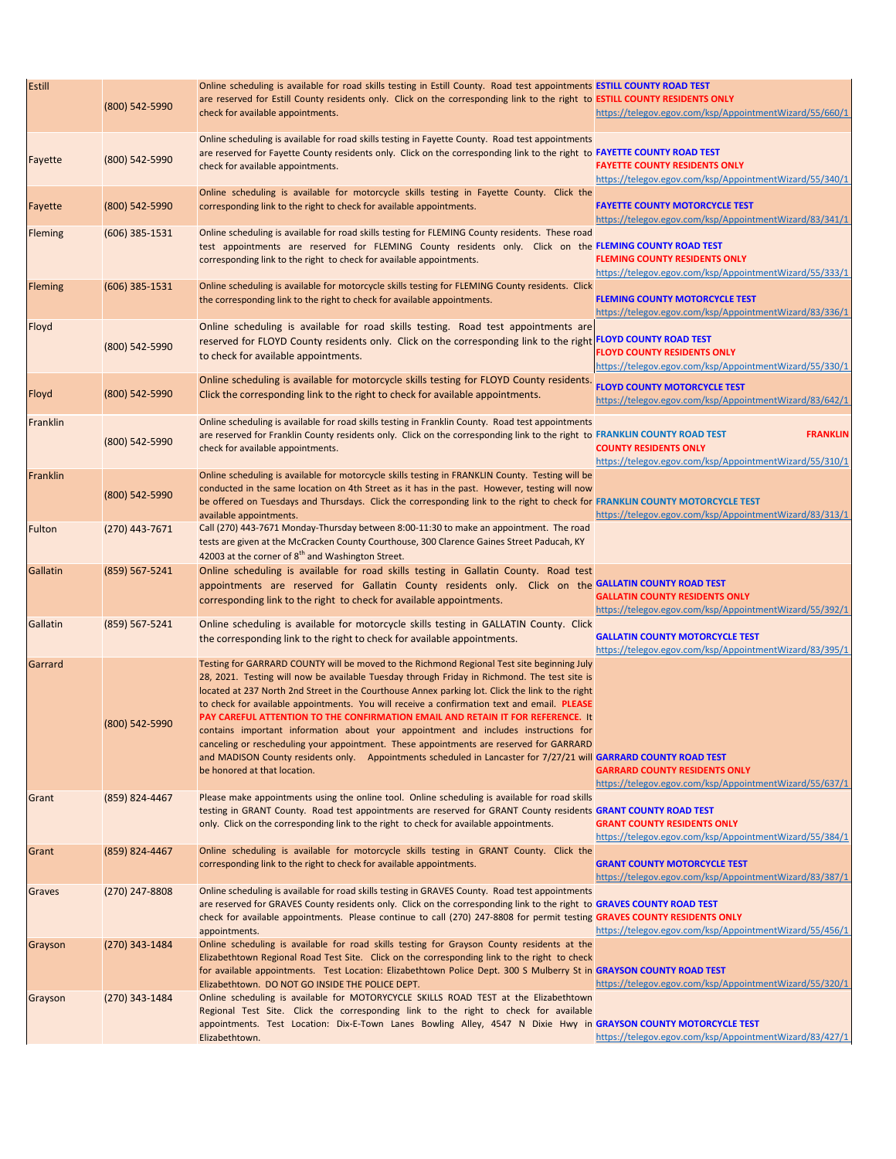| Estill   | (800) 542-5990     | Online scheduling is available for road skills testing in Estill County. Road test appointments ESTILL COUNTY ROAD TEST<br>are reserved for Estill County residents only. Click on the corresponding link to the right to ESTILL COUNTY RESIDENTS ONLY<br>check for available appointments.                                                                                                                                                                                                                                                                                                                                                                                                                                                                                                                            | https://telegov.egov.com/ksp/AppointmentWizard/55/660/1                                                    |
|----------|--------------------|------------------------------------------------------------------------------------------------------------------------------------------------------------------------------------------------------------------------------------------------------------------------------------------------------------------------------------------------------------------------------------------------------------------------------------------------------------------------------------------------------------------------------------------------------------------------------------------------------------------------------------------------------------------------------------------------------------------------------------------------------------------------------------------------------------------------|------------------------------------------------------------------------------------------------------------|
| Fayette  | (800) 542-5990     | Online scheduling is available for road skills testing in Fayette County. Road test appointments<br>are reserved for Fayette County residents only. Click on the corresponding link to the right to FAYETTE COUNTY ROAD TEST<br>check for available appointments.                                                                                                                                                                                                                                                                                                                                                                                                                                                                                                                                                      | <b>FAYETTE COUNTY RESIDENTS ONLY</b><br>https://telegov.egov.com/ksp/AppointmentWizard/55/340/1            |
| Fayette  | (800) 542-5990     | Online scheduling is available for motorcycle skills testing in Fayette County. Click the<br>corresponding link to the right to check for available appointments.                                                                                                                                                                                                                                                                                                                                                                                                                                                                                                                                                                                                                                                      | <b>FAYETTE COUNTY MOTORCYCLE TEST</b><br>https://telegov.egov.com/ksp/AppointmentWizard/83/341/1           |
| Fleming  | $(606)$ 385-1531   | Online scheduling is available for road skills testing for FLEMING County residents. These road<br>test appointments are reserved for FLEMING County residents only. Click on the FLEMING COUNTY ROAD TEST<br>corresponding link to the right to check for available appointments.                                                                                                                                                                                                                                                                                                                                                                                                                                                                                                                                     | <b>FLEMING COUNTY RESIDENTS ONLY</b><br>https://telegov.egov.com/ksp/AppointmentWizard/55/333/1            |
| Fleming  | $(606)$ 385-1531   | Online scheduling is available for motorcycle skills testing for FLEMING County residents. Click<br>the corresponding link to the right to check for available appointments.                                                                                                                                                                                                                                                                                                                                                                                                                                                                                                                                                                                                                                           | <b>FLEMING COUNTY MOTORCYCLE TEST</b><br>https://telegov.egov.com/ksp/AppointmentWizard/83/336/1           |
| Floyd    | (800) 542-5990     | Online scheduling is available for road skills testing. Road test appointments are<br>reserved for FLOYD County residents only. Click on the corresponding link to the right FLOYD COUNTY ROAD TEST<br>to check for available appointments.                                                                                                                                                                                                                                                                                                                                                                                                                                                                                                                                                                            | <b>FLOYD COUNTY RESIDENTS ONLY</b><br>https://telegov.egov.com/ksp/AppointmentWizard/55/330/1              |
| Floyd    | (800) 542-5990     | Online scheduling is available for motorcycle skills testing for FLOYD County residents.<br>Click the corresponding link to the right to check for available appointments.                                                                                                                                                                                                                                                                                                                                                                                                                                                                                                                                                                                                                                             | <b>FLOYD COUNTY MOTORCYCLE TEST</b><br>https://telegov.egov.com/ksp/AppointmentWizard/83/642/1             |
| Franklin | (800) 542-5990     | Online scheduling is available for road skills testing in Franklin County. Road test appointments<br>are reserved for Franklin County residents only. Click on the corresponding link to the right to FRANKLIN COUNTY ROAD TEST<br>check for available appointments.                                                                                                                                                                                                                                                                                                                                                                                                                                                                                                                                                   | <b>FRANKLIN</b><br><b>COUNTY RESIDENTS ONLY</b><br>https://telegov.egov.com/ksp/AppointmentWizard/55/310/1 |
| Franklin | (800) 542-5990     | Online scheduling is available for motorcycle skills testing in FRANKLIN County. Testing will be<br>conducted in the same location on 4th Street as it has in the past. However, testing will now<br>be offered on Tuesdays and Thursdays. Click the corresponding link to the right to check for FRANKLIN COUNTY MOTORCYCLE TEST<br>available appointments.                                                                                                                                                                                                                                                                                                                                                                                                                                                           | https://telegov.egov.com/ksp/AppointmentWizard/83/313/1                                                    |
| Fulton   | $(270)$ 443-7671   | Call (270) 443-7671 Monday-Thursday between 8:00-11:30 to make an appointment. The road<br>tests are given at the McCracken County Courthouse, 300 Clarence Gaines Street Paducah, KY<br>42003 at the corner of 8 <sup>th</sup> and Washington Street.                                                                                                                                                                                                                                                                                                                                                                                                                                                                                                                                                                 |                                                                                                            |
| Gallatin | (859) 567-5241     | Online scheduling is available for road skills testing in Gallatin County. Road test<br>appointments are reserved for Gallatin County residents only. Click on the GALLATIN COUNTY ROAD TEST<br>corresponding link to the right to check for available appointments.                                                                                                                                                                                                                                                                                                                                                                                                                                                                                                                                                   | <b>GALLATIN COUNTY RESIDENTS ONLY</b><br>https://telegov.egov.com/ksp/AppointmentWizard/55/392/1           |
| Gallatin | $(859) 567 - 5241$ | Online scheduling is available for motorcycle skills testing in GALLATIN County. Click<br>the corresponding link to the right to check for available appointments.                                                                                                                                                                                                                                                                                                                                                                                                                                                                                                                                                                                                                                                     | <b>GALLATIN COUNTY MOTORCYCLE TEST</b><br>https://telegov.egov.com/ksp/AppointmentWizard/83/395/1          |
| Garrard  | (800) 542-5990     | Testing for GARRARD COUNTY will be moved to the Richmond Regional Test site beginning July<br>28, 2021. Testing will now be available Tuesday through Friday in Richmond. The test site is<br>located at 237 North 2nd Street in the Courthouse Annex parking lot. Click the link to the right<br>to check for available appointments. You will receive a confirmation text and email. PLEASE<br>PAY CAREFUL ATTENTION TO THE CONFIRMATION EMAIL AND RETAIN IT FOR REFERENCE. It<br>contains important information about your appointment and includes instructions for<br>canceling or rescheduling your appointment. These appointments are reserved for GARRARD<br>and MADISON County residents only. Appointments scheduled in Lancaster for 7/27/21 will GARRARD COUNTY ROAD TEST<br>be honored at that location. | <b>GARRARD COUNTY RESIDENTS ONLY</b><br>https://telegov.egov.com/ksp/AppointmentWizard/55/637/1            |
| Grant    | (859) 824-4467     | Please make appointments using the online tool. Online scheduling is available for road skills<br>testing in GRANT County. Road test appointments are reserved for GRANT County residents GRANT COUNTY ROAD TEST<br>only. Click on the corresponding link to the right to check for available appointments.                                                                                                                                                                                                                                                                                                                                                                                                                                                                                                            | <b>GRANT COUNTY RESIDENTS ONLY</b><br>https://telegov.egov.com/ksp/AppointmentWizard/55/384/1              |
| Grant    | $(859) 824 - 4467$ | Online scheduling is available for motorcycle skills testing in GRANT County. Click the<br>corresponding link to the right to check for available appointments.                                                                                                                                                                                                                                                                                                                                                                                                                                                                                                                                                                                                                                                        | <b>GRANT COUNTY MOTORCYCLE TEST</b><br>https://telegov.egov.com/ksp/AppointmentWizard/83/387/1             |
| Graves   | (270) 247-8808     | Online scheduling is available for road skills testing in GRAVES County. Road test appointments<br>are reserved for GRAVES County residents only. Click on the corresponding link to the right to GRAVES COUNTY ROAD TEST<br>check for available appointments. Please continue to call (270) 247-8808 for permit testing GRAVES COUNTY RESIDENTS ONLY<br>appointments.                                                                                                                                                                                                                                                                                                                                                                                                                                                 | https://telegov.egov.com/ksp/AppointmentWizard/55/456/1                                                    |
| Grayson  | $(270)$ 343-1484   | Online scheduling is available for road skills testing for Grayson County residents at the<br>Elizabethtown Regional Road Test Site. Click on the corresponding link to the right to check<br>for available appointments. Test Location: Elizabethtown Police Dept. 300 S Mulberry St in GRAYSON COUNTY ROAD TEST<br>Elizabethtown. DO NOT GO INSIDE THE POLICE DEPT.                                                                                                                                                                                                                                                                                                                                                                                                                                                  | https://telegov.egov.com/ksp/AppointmentWizard/55/320/1                                                    |
| Grayson  | $(270)$ 343-1484   | Online scheduling is available for MOTORYCYCLE SKILLS ROAD TEST at the Elizabethtown<br>Regional Test Site. Click the corresponding link to the right to check for available<br>appointments. Test Location: Dix-E-Town Lanes Bowling Alley, 4547 N Dixie Hwy in GRAYSON COUNTY MOTORCYCLE TEST<br>Elizabethtown.                                                                                                                                                                                                                                                                                                                                                                                                                                                                                                      | https://telegov.egov.com/ksp/AppointmentWizard/83/427/1                                                    |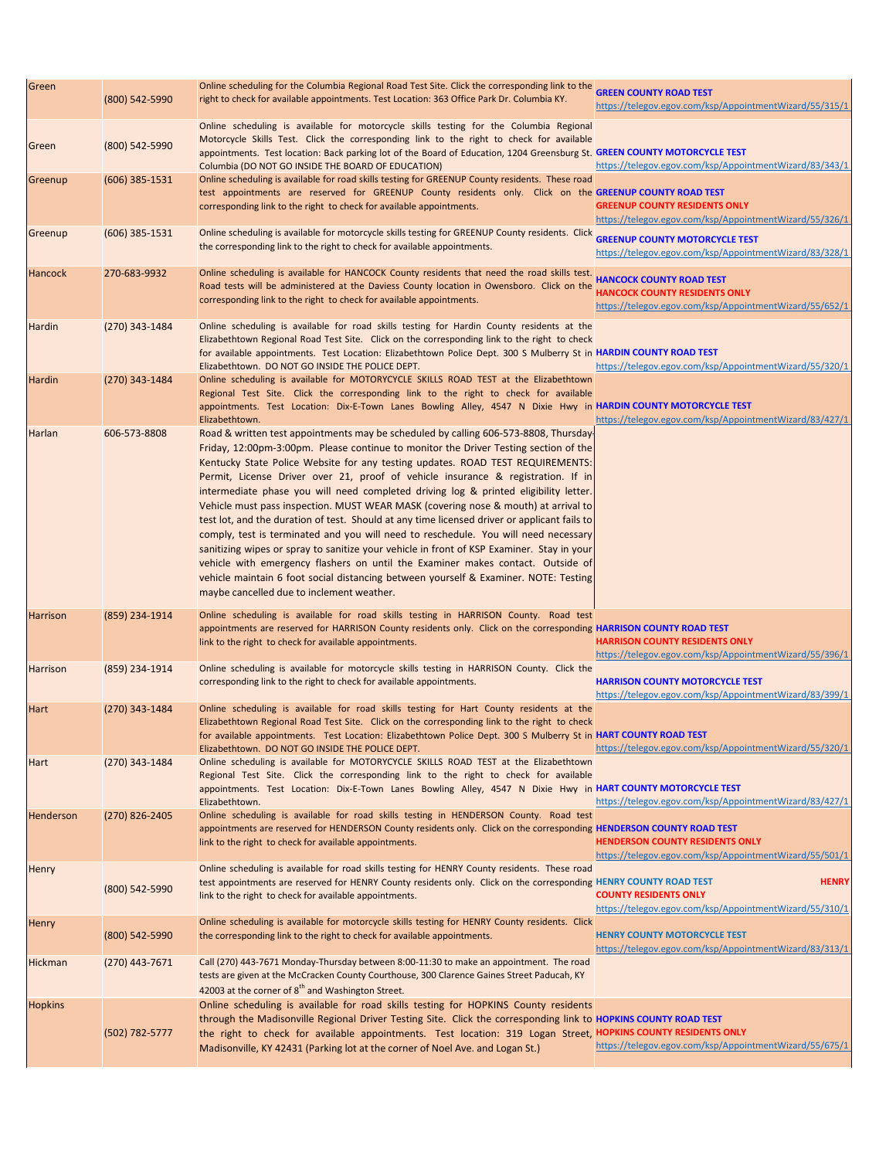| Green           | (800) 542-5990     | Online scheduling for the Columbia Regional Road Test Site. Click the corresponding link to the<br>right to check for available appointments. Test Location: 363 Office Park Dr. Columbia KY.                                                                                                                                                                                                                                                                                                                                                                                                                                                                                                                                                                                                                                                                                                                                                                                                                                               | <b>GREEN COUNTY ROAD TEST</b><br>https://telegov.egov.com/ksp/AppointmentWizard/55/315/1                                           |
|-----------------|--------------------|---------------------------------------------------------------------------------------------------------------------------------------------------------------------------------------------------------------------------------------------------------------------------------------------------------------------------------------------------------------------------------------------------------------------------------------------------------------------------------------------------------------------------------------------------------------------------------------------------------------------------------------------------------------------------------------------------------------------------------------------------------------------------------------------------------------------------------------------------------------------------------------------------------------------------------------------------------------------------------------------------------------------------------------------|------------------------------------------------------------------------------------------------------------------------------------|
| <b>Green</b>    | (800) 542-5990     | Online scheduling is available for motorcycle skills testing for the Columbia Regional<br>Motorcycle Skills Test. Click the corresponding link to the right to check for available<br>appointments. Test location: Back parking lot of the Board of Education, 1204 Greensburg St. GREEN COUNTY MOTORCYCLE TEST<br>Columbia (DO NOT GO INSIDE THE BOARD OF EDUCATION)                                                                                                                                                                                                                                                                                                                                                                                                                                                                                                                                                                                                                                                                       | https://telegov.egov.com/ksp/AppointmentWizard/83/343/1                                                                            |
| Greenup         | (606) 385-1531     | Online scheduling is available for road skills testing for GREENUP County residents. These road<br>test appointments are reserved for GREENUP County residents only. Click on the GREENUP COUNTY ROAD TEST<br>corresponding link to the right to check for available appointments.                                                                                                                                                                                                                                                                                                                                                                                                                                                                                                                                                                                                                                                                                                                                                          | <b>GREENUP COUNTY RESIDENTS ONLY</b><br>https://telegov.egov.com/ksp/AppointmentWizard/55/326/1                                    |
| Greenup         | $(606)$ 385-1531   | Online scheduling is available for motorcycle skills testing for GREENUP County residents. Click<br>the corresponding link to the right to check for available appointments.                                                                                                                                                                                                                                                                                                                                                                                                                                                                                                                                                                                                                                                                                                                                                                                                                                                                | <b>GREENUP COUNTY MOTORCYCLE TEST</b><br>https://telegov.egov.com/ksp/AppointmentWizard/83/328/1                                   |
| <b>Hancock</b>  | 270-683-9932       | Online scheduling is available for HANCOCK County residents that need the road skills test.<br>Road tests will be administered at the Daviess County location in Owensboro. Click on the<br>corresponding link to the right to check for available appointments.                                                                                                                                                                                                                                                                                                                                                                                                                                                                                                                                                                                                                                                                                                                                                                            | <b>HANCOCK COUNTY ROAD TEST</b><br><b>HANCOCK COUNTY RESIDENTS ONLY</b><br>https://telegov.egov.com/ksp/AppointmentWizard/55/652/1 |
| Hardin          | $(270)$ 343-1484   | Online scheduling is available for road skills testing for Hardin County residents at the<br>Elizabethtown Regional Road Test Site. Click on the corresponding link to the right to check<br>for available appointments. Test Location: Elizabethtown Police Dept. 300 S Mulberry St in HARDIN COUNTY ROAD TEST<br>Elizabethtown. DO NOT GO INSIDE THE POLICE DEPT.                                                                                                                                                                                                                                                                                                                                                                                                                                                                                                                                                                                                                                                                         | https://telegov.egov.com/ksp/AppointmentWizard/55/320/1                                                                            |
| Hardin          | (270) 343-1484     | Online scheduling is available for MOTORYCYCLE SKILLS ROAD TEST at the Elizabethtown<br>Regional Test Site. Click the corresponding link to the right to check for available<br>appointments. Test Location: Dix-E-Town Lanes Bowling Alley, 4547 N Dixie Hwy in HARDIN COUNTY MOTORCYCLE TEST<br>Elizabethtown.                                                                                                                                                                                                                                                                                                                                                                                                                                                                                                                                                                                                                                                                                                                            | https://telegov.egov.com/ksp/AppointmentWizard/83/427/1                                                                            |
| Harlan          | 606-573-8808       | Road & written test appointments may be scheduled by calling 606-573-8808, Thursday<br>Friday, 12:00pm-3:00pm. Please continue to monitor the Driver Testing section of the<br>Kentucky State Police Website for any testing updates. ROAD TEST REQUIREMENTS:<br>Permit, License Driver over 21, proof of vehicle insurance & registration. If in<br>intermediate phase you will need completed driving log & printed eligibility letter.<br>Vehicle must pass inspection. MUST WEAR MASK (covering nose & mouth) at arrival to<br>test lot, and the duration of test. Should at any time licensed driver or applicant fails to<br>comply, test is terminated and you will need to reschedule. You will need necessary<br>sanitizing wipes or spray to sanitize your vehicle in front of KSP Examiner. Stay in your<br>vehicle with emergency flashers on until the Examiner makes contact. Outside of<br>vehicle maintain 6 foot social distancing between yourself & Examiner. NOTE: Testing<br>maybe cancelled due to inclement weather. |                                                                                                                                    |
| <b>Harrison</b> | (859) 234-1914     | Online scheduling is available for road skills testing in HARRISON County. Road test<br>appointments are reserved for HARRISON County residents only. Click on the corresponding HARRISON COUNTY ROAD TEST<br>link to the right to check for available appointments.                                                                                                                                                                                                                                                                                                                                                                                                                                                                                                                                                                                                                                                                                                                                                                        | <b>HARRISON COUNTY RESIDENTS ONLY</b><br>https://telegov.egov.com/ksp/AppointmentWizard/55/396/1                                   |
| <b>Harrison</b> | (859) 234-1914     | Online scheduling is available for motorcycle skills testing in HARRISON County. Click the<br>corresponding link to the right to check for available appointments.                                                                                                                                                                                                                                                                                                                                                                                                                                                                                                                                                                                                                                                                                                                                                                                                                                                                          | <b>HARRISON COUNTY MOTORCYCLE TEST</b><br>https://telegov.egov.com/ksp/AppointmentWizard/83/399/1                                  |
| Hart            | (270) 343-1484     | Online scheduling is available for road skills testing for Hart County residents at the<br>Elizabethtown Regional Road Test Site. Click on the corresponding link to the right to check<br>for available appointments. Test Location: Elizabethtown Police Dept. 300 S Mulberry St in HART COUNTY ROAD TEST<br>Elizabethtown. DO NOT GO INSIDE THE POLICE DEPT.                                                                                                                                                                                                                                                                                                                                                                                                                                                                                                                                                                                                                                                                             | https://telegov.egov.com/ksp/AppointmentWizard/55/320/1                                                                            |
| <b>Hart</b>     | $(270)$ 343-1484   | Online scheduling is available for MOTORYCYCLE SKILLS ROAD TEST at the Elizabethtown<br>Regional Test Site. Click the corresponding link to the right to check for available<br>appointments. Test Location: Dix-E-Town Lanes Bowling Alley, 4547 N Dixie Hwy in HART COUNTY MOTORCYCLE TEST<br>Elizabethtown.                                                                                                                                                                                                                                                                                                                                                                                                                                                                                                                                                                                                                                                                                                                              | https://telegov.egov.com/ksp/AppointmentWizard/83/427/1                                                                            |
| Henderson       | (270) 826-2405     | Online scheduling is available for road skills testing in HENDERSON County. Road test<br>appointments are reserved for HENDERSON County residents only. Click on the corresponding HENDERSON COUNTY ROAD TEST<br>link to the right to check for available appointments.                                                                                                                                                                                                                                                                                                                                                                                                                                                                                                                                                                                                                                                                                                                                                                     | <b>HENDERSON COUNTY RESIDENTS ONLY</b><br>https://telegov.egov.com/ksp/AppointmentWizard/55/501/1                                  |
| <b>Henry</b>    | (800) 542-5990     | Online scheduling is available for road skills testing for HENRY County residents. These road<br>test appointments are reserved for HENRY County residents only. Click on the corresponding HENRY COUNTY ROAD TEST<br>link to the right to check for available appointments.                                                                                                                                                                                                                                                                                                                                                                                                                                                                                                                                                                                                                                                                                                                                                                | <b>HENRY</b><br><b>COUNTY RESIDENTS ONLY</b><br>https://telegov.egov.com/ksp/AppointmentWizard/55/310/1                            |
| <b>Henry</b>    | (800) 542-5990     | Online scheduling is available for motorcycle skills testing for HENRY County residents. Click<br>the corresponding link to the right to check for available appointments.                                                                                                                                                                                                                                                                                                                                                                                                                                                                                                                                                                                                                                                                                                                                                                                                                                                                  | <b>HENRY COUNTY MOTORCYCLE TEST</b><br>https://telegov.egov.com/ksp/AppointmentWizard/83/313/1                                     |
| Hickman         | $(270)$ 443-7671   | Call (270) 443-7671 Monday-Thursday between 8:00-11:30 to make an appointment. The road<br>tests are given at the McCracken County Courthouse, 300 Clarence Gaines Street Paducah, KY<br>42003 at the corner of 8 <sup>th</sup> and Washington Street.                                                                                                                                                                                                                                                                                                                                                                                                                                                                                                                                                                                                                                                                                                                                                                                      |                                                                                                                                    |
| <b>Hopkins</b>  | $(502) 782 - 5777$ | Online scheduling is available for road skills testing for HOPKINS County residents<br>through the Madisonville Regional Driver Testing Site. Click the corresponding link to HOPKINS COUNTY ROAD TEST<br>the right to check for available appointments. Test location: 319 Logan Street, HOPKINS COUNTY RESIDENTS ONLY<br>Madisonville, KY 42431 (Parking lot at the corner of Noel Ave. and Logan St.)                                                                                                                                                                                                                                                                                                                                                                                                                                                                                                                                                                                                                                    | https://telegov.egov.com/ksp/AppointmentWizard/55/675/1                                                                            |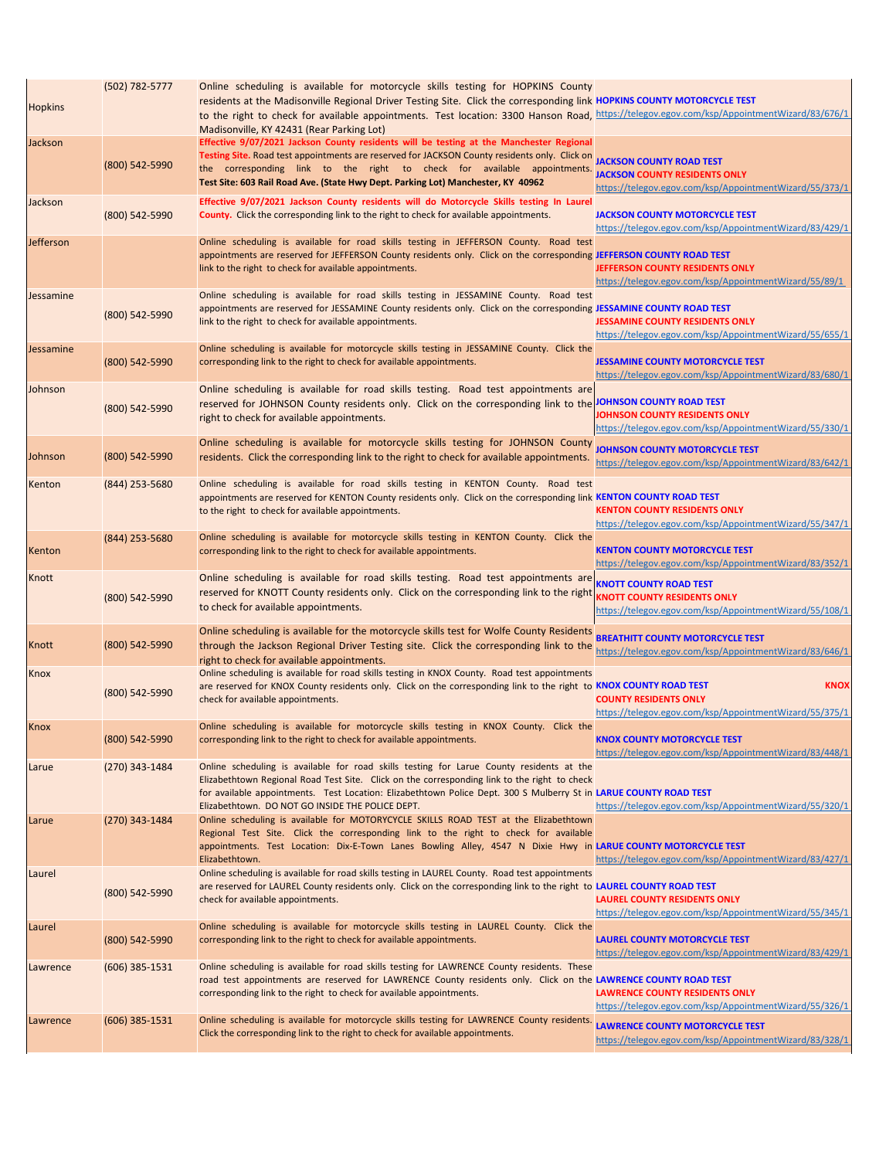| <b>Hopkins</b> | (502) 782-5777   | Online scheduling is available for motorcycle skills testing for HOPKINS County<br>residents at the Madisonville Regional Driver Testing Site. Click the corresponding link HOPKINS COUNTY MOTORCYCLE TEST<br>to the right to check for available appointments. Test location: 3300 Hanson Road, https://telegov.egov.com/ksp/AppointmentWizard/83/676/1<br>Madisonville, KY 42431 (Rear Parking Lot) |                                                                                                        |
|----------------|------------------|-------------------------------------------------------------------------------------------------------------------------------------------------------------------------------------------------------------------------------------------------------------------------------------------------------------------------------------------------------------------------------------------------------|--------------------------------------------------------------------------------------------------------|
| Jackson        | (800) 542-5990   | Effective 9/07/2021 Jackson County residents will be testing at the Manchester Regional<br>Testing Site. Road test appointments are reserved for JACKSON County residents only. Click on JACKSON COUNTY ROAD TEST<br>the corresponding link to the right to check for available appointments.<br>Test Site: 603 Rail Road Ave. (State Hwy Dept. Parking Lot) Manchester, KY 40962                     | <b>JACKSON COUNTY RESIDENTS ONLY</b><br>https://telegov.egov.com/ksp/AppointmentWizard/55/373/1        |
| Jackson        | (800) 542-5990   | Effective 9/07/2021 Jackson County residents will do Motorcycle Skills testing In Laurel<br><b>County.</b> Click the corresponding link to the right to check for available appointments.                                                                                                                                                                                                             | <b>JACKSON COUNTY MOTORCYCLE TEST</b><br>https://telegov.egov.com/ksp/AppointmentWizard/83/429/1       |
| Jefferson      |                  | Online scheduling is available for road skills testing in JEFFERSON County. Road test<br>appointments are reserved for JEFFERSON County residents only. Click on the corresponding JEFFERSON COUNTY ROAD TEST<br>link to the right to check for available appointments.                                                                                                                               | JEFFERSON COUNTY RESIDENTS ONLY<br>https://telegov.egov.com/ksp/AppointmentWizard/55/89/1              |
| Jessamine      | (800) 542-5990   | Online scheduling is available for road skills testing in JESSAMINE County. Road test<br>appointments are reserved for JESSAMINE County residents only. Click on the corresponding JESSAMINE COUNTY ROAD TEST<br>link to the right to check for available appointments.                                                                                                                               | <b>JESSAMINE COUNTY RESIDENTS ONLY</b><br>https://telegov.egov.com/ksp/AppointmentWizard/55/655/1      |
| Jessamine      | (800) 542-5990   | Online scheduling is available for motorcycle skills testing in JESSAMINE County. Click the<br>corresponding link to the right to check for available appointments.                                                                                                                                                                                                                                   | <b>JESSAMINE COUNTY MOTORCYCLE TEST</b><br>https://telegov.egov.com/ksp/AppointmentWizard/83/680/1     |
| Johnson        | (800) 542-5990   | Online scheduling is available for road skills testing. Road test appointments are<br>reserved for JOHNSON County residents only. Click on the corresponding link to the JOHNSON COUNTY ROAD TEST<br>right to check for available appointments.                                                                                                                                                       | <b>IOHNSON COUNTY RESIDENTS ONLY</b><br>https://telegov.egov.com/ksp/AppointmentWizard/55/330/1        |
| Johnson        | (800) 542-5990   | Online scheduling is available for motorcycle skills testing for JOHNSON County<br>residents. Click the corresponding link to the right to check for available appointments.                                                                                                                                                                                                                          | <b>JOHNSON COUNTY MOTORCYCLE TEST</b><br>https://telegov.egov.com/ksp/AppointmentWizard/83/642/1       |
| Kenton         | (844) 253-5680   | Online scheduling is available for road skills testing in KENTON County. Road test<br>appointments are reserved for KENTON County residents only. Click on the corresponding link KENTON COUNTY ROAD TEST<br>to the right to check for available appointments.                                                                                                                                        | <b>KENTON COUNTY RESIDENTS ONLY</b><br>https://telegov.egov.com/ksp/AppointmentWizard/55/347/1         |
| Kenton         | (844) 253-5680   | Online scheduling is available for motorcycle skills testing in KENTON County. Click the<br>corresponding link to the right to check for available appointments.                                                                                                                                                                                                                                      | <b>KENTON COUNTY MOTORCYCLE TEST</b><br>https://telegov.egov.com/ksp/AppointmentWizard/83/352/1        |
| Knott          | (800) 542-5990   | Online scheduling is available for road skills testing. Road test appointments are KNOTT COUNTY ROAD TEST<br>reserved for KNOTT County residents only. Click on the corresponding link to the right KNOTT COUNTY RESIDENTS ONLY<br>to check for available appointments.                                                                                                                               | https://telegov.egov.com/ksp/AppointmentWizard/55/108/1                                                |
| Knott          | (800) 542-5990   | Online scheduling is available for the motorcycle skills test for Wolfe County Residents BREATHITT COUNTY MOTORCYCLE TEST<br>through the Jackson Regional Driver Testing site. Click the corresponding link to the<br>right to check for available appointments.                                                                                                                                      | https://telegov.egov.com/ksp/AppointmentWizard/83/646/1                                                |
| <b>Knox</b>    | (800) 542-5990   | Online scheduling is available for road skills testing in KNOX County. Road test appointments<br>are reserved for KNOX County residents only. Click on the corresponding link to the right to KNOX COUNTY ROAD TEST<br>check for available appointments.                                                                                                                                              | <b>KNOX</b><br><b>COUNTY RESIDENTS ONLY</b><br>https://telegov.egov.com/ksp/AppointmentWizard/55/375/1 |
| Knox           | (800) 542-5990   | Online scheduling is available for motorcycle skills testing in KNOX County. Click the<br>corresponding link to the right to check for available appointments.                                                                                                                                                                                                                                        | <b>KNOX COUNTY MOTORCYCLE TEST</b><br>https://telegov.egov.com/ksp/AppointmentWizard/83/448/1          |
| Larue          | (270) 343-1484   | Online scheduling is available for road skills testing for Larue County residents at the<br>Elizabethtown Regional Road Test Site. Click on the corresponding link to the right to check<br>for available appointments. Test Location: Elizabethtown Police Dept. 300 S Mulberry St in LARUE COUNTY ROAD TEST<br>Elizabethtown. DO NOT GO INSIDE THE POLICE DEPT.                                     | https://telegov.egov.com/ksp/AppointmentWizard/55/320/1                                                |
| Larue          | (270) 343-1484   | Online scheduling is available for MOTORYCYCLE SKILLS ROAD TEST at the Elizabethtown<br>Regional Test Site. Click the corresponding link to the right to check for available<br>appointments. Test Location: Dix-E-Town Lanes Bowling Alley, 4547 N Dixie Hwy in LARUE COUNTY MOTORCYCLE TEST<br>Elizabethtown.                                                                                       | https://telegov.egov.com/ksp/AppointmentWizard/83/427/1                                                |
| Laurel         | (800) 542-5990   | Online scheduling is available for road skills testing in LAUREL County. Road test appointments<br>are reserved for LAUREL County residents only. Click on the corresponding link to the right to LAUREL COUNTY ROAD TEST<br>check for available appointments.                                                                                                                                        | <b>LAUREL COUNTY RESIDENTS ONLY</b><br>https://telegov.egov.com/ksp/AppointmentWizard/55/345/1         |
| Laurel         | (800) 542-5990   | Online scheduling is available for motorcycle skills testing in LAUREL County. Click the<br>corresponding link to the right to check for available appointments.                                                                                                                                                                                                                                      | <b>LAUREL COUNTY MOTORCYCLE TEST</b><br>https://telegov.egov.com/ksp/AppointmentWizard/83/429/1        |
| Lawrence       | $(606)$ 385-1531 | Online scheduling is available for road skills testing for LAWRENCE County residents. These<br>road test appointments are reserved for LAWRENCE County residents only. Click on the LAWRENCE COUNTY ROAD TEST<br>corresponding link to the right to check for available appointments.                                                                                                                 | <b>LAWRENCE COUNTY RESIDENTS ONLY</b><br>https://telegov.egov.com/ksp/AppointmentWizard/55/326/1       |
| Lawrence       | $(606)$ 385-1531 | Online scheduling is available for motorcycle skills testing for LAWRENCE County residents.<br>Click the corresponding link to the right to check for available appointments.                                                                                                                                                                                                                         | <b>LAWRENCE COUNTY MOTORCYCLE TEST</b><br>https://telegov.egov.com/ksp/AppointmentWizard/83/328/1      |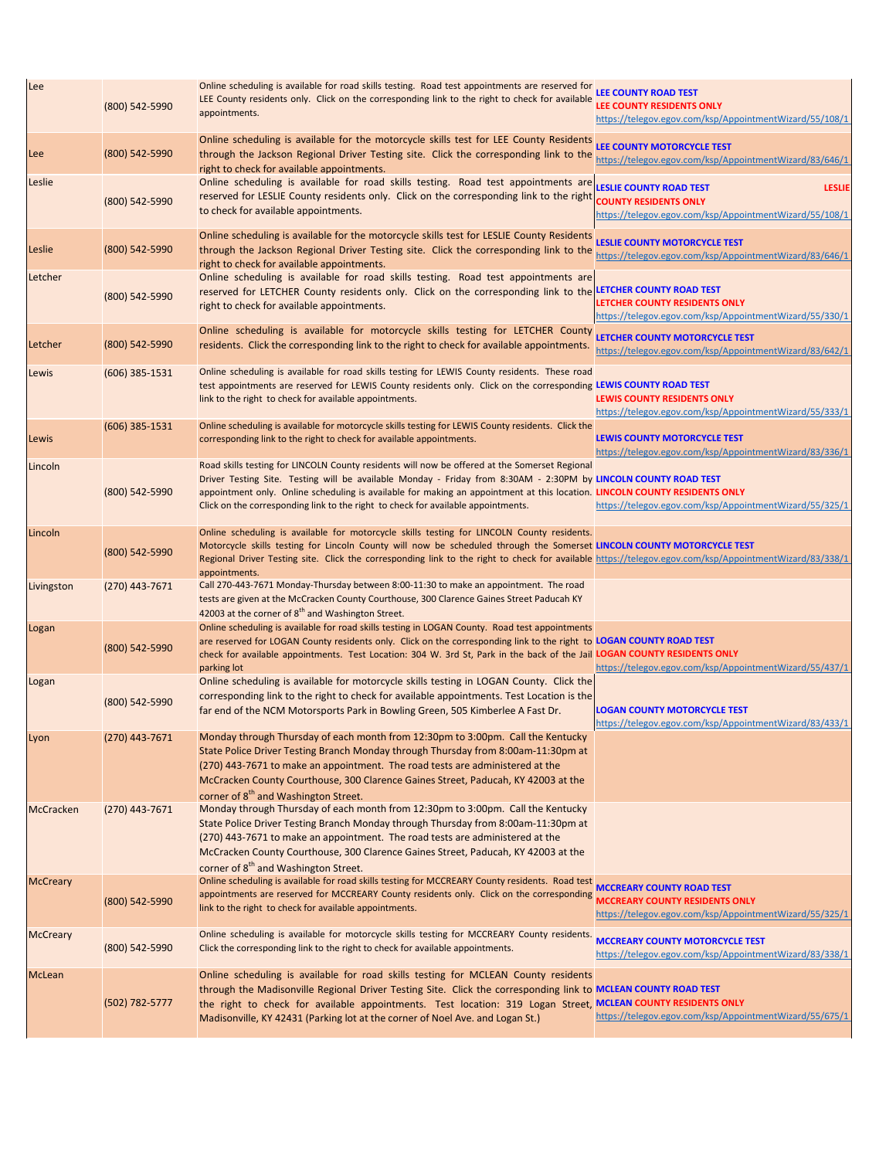| Lee              | (800) 542-5990   | Online scheduling is available for road skills testing. Road test appointments are reserved for<br>LEE County residents only. Click on the corresponding link to the right to check for available<br>appointments.                                                                                                                                                                                                                  | <b>LEE COUNTY ROAD TEST</b><br><b>LEE COUNTY RESIDENTS ONLY</b><br>https://telegov.egov.com/ksp/AppointmentWizard/55/108/1 |
|------------------|------------------|-------------------------------------------------------------------------------------------------------------------------------------------------------------------------------------------------------------------------------------------------------------------------------------------------------------------------------------------------------------------------------------------------------------------------------------|----------------------------------------------------------------------------------------------------------------------------|
| Lee              | (800) 542-5990   | Online scheduling is available for the motorcycle skills test for LEE County Residents<br>through the Jackson Regional Driver Testing site. Click the corresponding link to the<br>right to check for available appointments.                                                                                                                                                                                                       | LEE COUNTY MOTORCYCLE TEST<br>https://telegov.egov.com/ksp/AppointmentWizard/83/646/1                                      |
| Leslie           | (800) 542-5990   | Online scheduling is available for road skills testing. Road test appointments are LESLIE COUNTY ROAD TEST<br>reserved for LESLIE County residents only. Click on the corresponding link to the right county RESIDENTS ONLY<br>to check for available appointments.                                                                                                                                                                 | <b>LESLIE</b><br>https://telegov.egov.com/ksp/AppointmentWizard/55/108/1                                                   |
| Leslie           | (800) 542-5990   | Online scheduling is available for the motorcycle skills test for LESLIE County Residents<br>through the Jackson Regional Driver Testing site. Click the corresponding link to the<br>right to check for available appointments.                                                                                                                                                                                                    | <b>LESLIE COUNTY MOTORCYCLE TEST</b><br>https://telegov.egov.com/ksp/AppointmentWizard/83/646/1                            |
| Letcher          | (800) 542-5990   | Online scheduling is available for road skills testing. Road test appointments are<br>reserved for LETCHER County residents only. Click on the corresponding link to the LETCHER COUNTY ROAD TEST<br>right to check for available appointments.                                                                                                                                                                                     | <b>LETCHER COUNTY RESIDENTS ONLY</b><br>https://telegov.egov.com/ksp/AppointmentWizard/55/330/1                            |
| Letcher          | (800) 542-5990   | Online scheduling is available for motorcycle skills testing for LETCHER County<br>residents. Click the corresponding link to the right to check for available appointments.                                                                                                                                                                                                                                                        | LETCHER COUNTY MOTORCYCLE TEST<br>https://telegov.egov.com/ksp/AppointmentWizard/83/642/1                                  |
| Lewis            | $(606)$ 385-1531 | Online scheduling is available for road skills testing for LEWIS County residents. These road<br>test appointments are reserved for LEWIS County residents only. Click on the corresponding LEWIS COUNTY ROAD TEST<br>link to the right to check for available appointments.                                                                                                                                                        | <b>LEWIS COUNTY RESIDENTS ONLY</b><br>https://telegov.egov.com/ksp/AppointmentWizard/55/333/1                              |
| Lewis            | (606) 385-1531   | Online scheduling is available for motorcycle skills testing for LEWIS County residents. Click the<br>corresponding link to the right to check for available appointments.                                                                                                                                                                                                                                                          | LEWIS COUNTY MOTORCYCLE TEST<br>https://telegov.egov.com/ksp/AppointmentWizard/83/336/1                                    |
| Lincoln          | $(800)$ 542-5990 | Road skills testing for LINCOLN County residents will now be offered at the Somerset Regional<br>Driver Testing Site. Testing will be available Monday - Friday from 8:30AM - 2:30PM by LINCOLN COUNTY ROAD TEST<br>appointment only. Online scheduling is available for making an appointment at this location. LINCOLN COUNTY RESIDENTS ONLY<br>Click on the corresponding link to the right to check for available appointments. | https://telegov.egov.com/ksp/AppointmentWizard/55/325/1                                                                    |
| Lincoln          | (800) 542-5990   | Online scheduling is available for motorcycle skills testing for LINCOLN County residents.<br>Motorcycle skills testing for Lincoln County will now be scheduled through the Somerset LINCOLN COUNTY MOTORCYCLE TEST<br>Regional Driver Testing site. Click the corresponding link to the right to check for available https://telegov.egov.com/ksp/AppointmentWizard/83/338/1<br>appointments.                                     |                                                                                                                            |
| Livingston       | (270) 443-7671   | Call 270-443-7671 Monday-Thursday between 8:00-11:30 to make an appointment. The road<br>tests are given at the McCracken County Courthouse, 300 Clarence Gaines Street Paducah KY<br>42003 at the corner of 8 <sup>th</sup> and Washington Street.                                                                                                                                                                                 |                                                                                                                            |
| Logan            | (800) 542-5990   | Online scheduling is available for road skills testing in LOGAN County. Road test appointments<br>are reserved for LOGAN County residents only. Click on the corresponding link to the right to LOGAN COUNTY ROAD TEST<br>check for available appointments. Test Location: 304 W. 3rd St, Park in the back of the Jail LOGAN COUNTY RESIDENTS ONLY<br>parking lot                                                                   | https://telegov.egov.com/ksp/AppointmentWizard/55/437/1                                                                    |
| Logan            | (800) 542-5990   | Online scheduling is available for motorcycle skills testing in LOGAN County. Click the<br>corresponding link to the right to check for available appointments. Test Location is the<br>far end of the NCM Motorsports Park in Bowling Green, 505 Kimberlee A Fast Dr.                                                                                                                                                              | <b>LOGAN COUNTY MOTORCYCLE TEST</b><br>https://telegov.egov.com/ksp/AppointmentWizard/83/433/1                             |
| Lyon             | $(270)$ 443-7671 | Monday through Thursday of each month from 12:30pm to 3:00pm. Call the Kentucky<br>State Police Driver Testing Branch Monday through Thursday from 8:00am-11:30pm at<br>(270) 443-7671 to make an appointment. The road tests are administered at the<br>McCracken County Courthouse, 300 Clarence Gaines Street, Paducah, KY 42003 at the<br>corner of 8 <sup>th</sup> and Washington Street.                                      |                                                                                                                            |
| <b>McCracken</b> | (270) 443-7671   | Monday through Thursday of each month from 12:30pm to 3:00pm. Call the Kentucky<br>State Police Driver Testing Branch Monday through Thursday from 8:00am-11:30pm at<br>(270) 443-7671 to make an appointment. The road tests are administered at the<br>McCracken County Courthouse, 300 Clarence Gaines Street, Paducah, KY 42003 at the<br>corner of 8 <sup>th</sup> and Washington Street.                                      |                                                                                                                            |
| <b>McCreary</b>  | (800) 542-5990   | Online scheduling is available for road skills testing for MCCREARY County residents. Road test MCCREARY COUNTY ROAD TEST<br>appointments are reserved for MCCREARY County residents only. Click on the corresponding<br>link to the right to check for available appointments.                                                                                                                                                     | <b>MCCREARY COUNTY RESIDENTS ONLY</b><br>https://telegov.egov.com/ksp/AppointmentWizard/55/325/1                           |
| <b>McCreary</b>  | (800) 542-5990   | Online scheduling is available for motorcycle skills testing for MCCREARY County residents.<br>Click the corresponding link to the right to check for available appointments.                                                                                                                                                                                                                                                       | <b>MCCREARY COUNTY MOTORCYCLE TEST</b><br>https://telegov.egov.com/ksp/AppointmentWizard/83/338/1                          |
| McLean           | (502) 782-5777   | Online scheduling is available for road skills testing for MCLEAN County residents<br>through the Madisonville Regional Driver Testing Site. Click the corresponding link to MCLEAN COUNTY ROAD TEST<br>the right to check for available appointments. Test location: 319 Logan Street, MCLEAN COUNTY RESIDENTS ONLY<br>Madisonville, KY 42431 (Parking lot at the corner of Noel Ave. and Logan St.)                               | https://telegov.egov.com/ksp/AppointmentWizard/55/675/1                                                                    |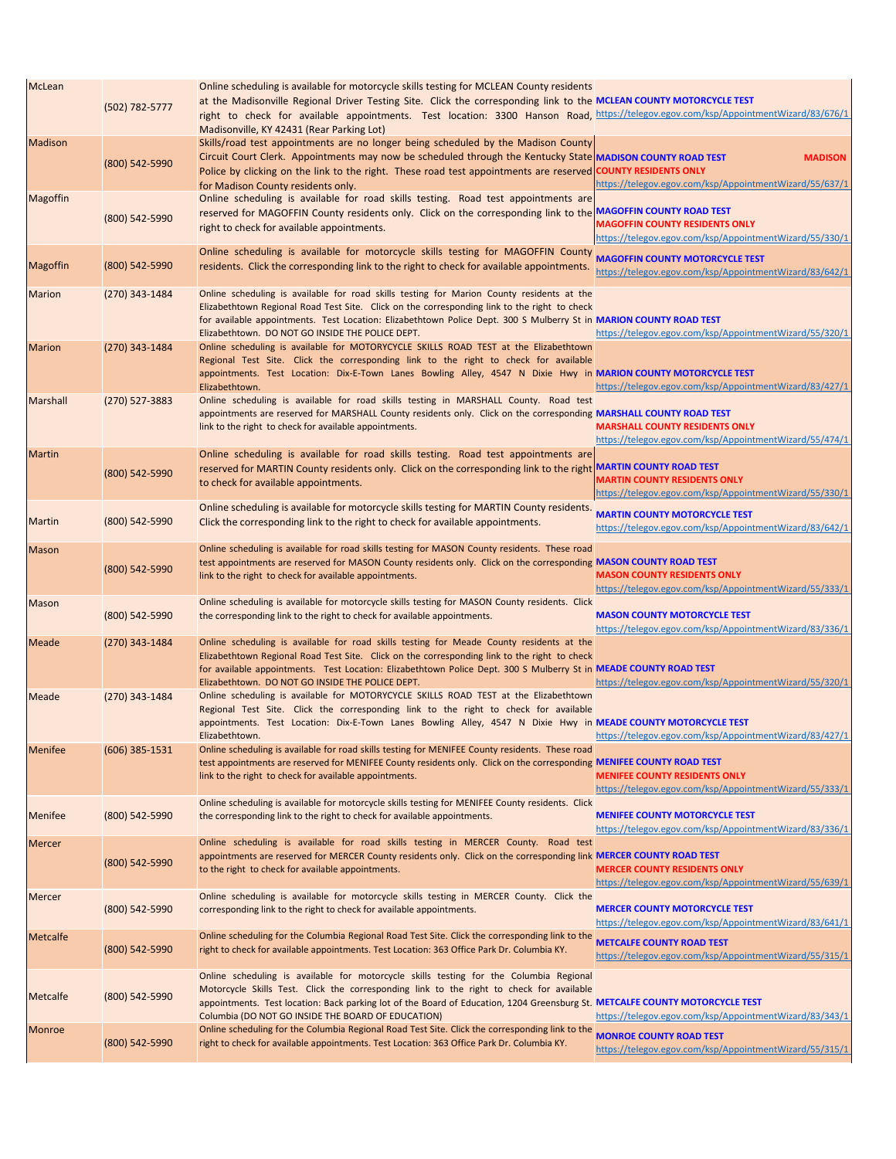| McLean          | (502) 782-5777   | Online scheduling is available for motorcycle skills testing for MCLEAN County residents<br>at the Madisonville Regional Driver Testing Site. Click the corresponding link to the MCLEAN COUNTY MOTORCYCLE TEST<br>right to check for available appointments. Test location: 3300 Hanson Road, https://telegov.egov.com/ksp/AppointmentWizard/83/676/1<br>Madisonville, KY 42431 (Rear Parking Lot) |                                                                                                  |
|-----------------|------------------|-----------------------------------------------------------------------------------------------------------------------------------------------------------------------------------------------------------------------------------------------------------------------------------------------------------------------------------------------------------------------------------------------------|--------------------------------------------------------------------------------------------------|
| <b>Madison</b>  | (800) 542-5990   | Skills/road test appointments are no longer being scheduled by the Madison County<br>Circuit Court Clerk. Appointments may now be scheduled through the Kentucky State MADISON COUNTY ROAD TEST<br>Police by clicking on the link to the right. These road test appointments are reserved COUNTY RESIDENTS ONLY<br>for Madison County residents only.                                               | <b>MADISON</b><br>https://telegov.egov.com/ksp/AppointmentWizard/55/637/1                        |
| <b>Magoffin</b> | (800) 542-5990   | Online scheduling is available for road skills testing. Road test appointments are<br>reserved for MAGOFFIN County residents only. Click on the corresponding link to the MAGOFFIN COUNTY ROAD TEST<br>right to check for available appointments.                                                                                                                                                   | <b>MAGOFFIN COUNTY RESIDENTS ONLY</b><br>https://telegov.egov.com/ksp/AppointmentWizard/55/330/1 |
| <b>Magoffin</b> | (800) 542-5990   | Online scheduling is available for motorcycle skills testing for MAGOFFIN County MAGOFFIN COUNTY MOTORCYCLE TEST<br>residents. Click the corresponding link to the right to check for available appointments.                                                                                                                                                                                       | https://telegov.egov.com/ksp/AppointmentWizard/83/642/1                                          |
| <b>Marion</b>   | $(270)$ 343-1484 | Online scheduling is available for road skills testing for Marion County residents at the<br>Elizabethtown Regional Road Test Site. Click on the corresponding link to the right to check<br>for available appointments. Test Location: Elizabethtown Police Dept. 300 S Mulberry St in MARION COUNTY ROAD TEST<br>Elizabethtown. DO NOT GO INSIDE THE POLICE DEPT.                                 | https://telegov.egov.com/ksp/AppointmentWizard/55/320/1                                          |
| <b>Marion</b>   | (270) 343-1484   | Online scheduling is available for MOTORYCYCLE SKILLS ROAD TEST at the Elizabethtown<br>Regional Test Site. Click the corresponding link to the right to check for available<br>appointments. Test Location: Dix-E-Town Lanes Bowling Alley, 4547 N Dixie Hwy in MARION COUNTY MOTORCYCLE TEST<br>Elizabethtown.                                                                                    | https://telegov.egov.com/ksp/AppointmentWizard/83/427/1                                          |
| <b>Marshall</b> | (270) 527-3883   | Online scheduling is available for road skills testing in MARSHALL County. Road test<br>appointments are reserved for MARSHALL County residents only. Click on the corresponding MARSHALL COUNTY ROAD TEST<br>link to the right to check for available appointments.                                                                                                                                | <b>MARSHALL COUNTY RESIDENTS ONLY</b><br>https://telegov.egov.com/ksp/AppointmentWizard/55/474/1 |
| <b>Martin</b>   | (800) 542-5990   | Online scheduling is available for road skills testing. Road test appointments are<br>reserved for MARTIN County residents only. Click on the corresponding link to the right MARTIN COUNTY ROAD TEST<br>to check for available appointments.                                                                                                                                                       | <b>MARTIN COUNTY RESIDENTS ONLY</b><br>https://telegov.egov.com/ksp/AppointmentWizard/55/330/1   |
| <b>Martin</b>   | (800) 542-5990   | Online scheduling is available for motorcycle skills testing for MARTIN County residents.<br>Click the corresponding link to the right to check for available appointments.                                                                                                                                                                                                                         | <b>MARTIN COUNTY MOTORCYCLE TEST</b><br>https://telegov.egov.com/ksp/AppointmentWizard/83/642/1  |
| <b>Mason</b>    | (800) 542-5990   | Online scheduling is available for road skills testing for MASON County residents. These road<br>test appointments are reserved for MASON County residents only. Click on the corresponding MASON COUNTY ROAD TEST<br>link to the right to check for available appointments.                                                                                                                        | <b>MASON COUNTY RESIDENTS ONLY</b><br>https://telegov.egov.com/ksp/AppointmentWizard/55/333/1    |
| <b>Mason</b>    | (800) 542-5990   | Online scheduling is available for motorcycle skills testing for MASON County residents. Click<br>the corresponding link to the right to check for available appointments.                                                                                                                                                                                                                          | <b>MASON COUNTY MOTORCYCLE TEST</b><br>https://telegov.egov.com/ksp/AppointmentWizard/83/336/1   |
| Meade           | (270) 343-1484   | Online scheduling is available for road skills testing for Meade County residents at the<br>Elizabethtown Regional Road Test Site. Click on the corresponding link to the right to check<br>for available appointments. Test Location: Elizabethtown Police Dept. 300 S Mulberry St in MEADE COUNTY ROAD TEST<br>Elizabethtown. DO NOT GO INSIDE THE POLICE DEPT.                                   | https://telegov.egov.com/ksp/AppointmentWizard/55/320/1                                          |
| Meade           | (270) 343-1484   | Online scheduling is available for MOTORYCYCLE SKILLS ROAD TEST at the Elizabethtown<br>Regional Test Site. Click the corresponding link to the right to check for available<br>appointments. Test Location: Dix-E-Town Lanes Bowling Alley, 4547 N Dixie Hwy in MEADE COUNTY MOTORCYCLE TEST<br>Elizabethtown.                                                                                     | https://telegov.egov.com/ksp/AppointmentWizard/83/427/1                                          |
| <b>Menifee</b>  | (606) 385-1531   | Online scheduling is available for road skills testing for MENIFEE County residents. These road<br>test appointments are reserved for MENIFEE County residents only. Click on the corresponding MENIFEE COUNTY ROAD TEST<br>link to the right to check for available appointments.                                                                                                                  | <b>MENIFEE COUNTY RESIDENTS ONLY</b><br>https://telegov.egov.com/ksp/AppointmentWizard/55/333/1  |
| <b>Menifee</b>  | (800) 542-5990   | Online scheduling is available for motorcycle skills testing for MENIFEE County residents. Click<br>the corresponding link to the right to check for available appointments.                                                                                                                                                                                                                        | <b>MENIFEE COUNTY MOTORCYCLE TEST</b><br>https://telegov.egov.com/ksp/AppointmentWizard/83/336/1 |
| <b>Mercer</b>   | (800) 542-5990   | Online scheduling is available for road skills testing in MERCER County. Road test<br>appointments are reserved for MERCER County residents only. Click on the corresponding link MERCER COUNTY ROAD TEST<br>to the right to check for available appointments.                                                                                                                                      | <b>MERCER COUNTY RESIDENTS ONLY</b><br>https://telegov.egov.com/ksp/AppointmentWizard/55/639/1   |
| <b>Mercer</b>   | (800) 542-5990   | Online scheduling is available for motorcycle skills testing in MERCER County. Click the<br>corresponding link to the right to check for available appointments.                                                                                                                                                                                                                                    | <b>MERCER COUNTY MOTORCYCLE TEST</b><br>https://telegov.egov.com/ksp/AppointmentWizard/83/641/1  |
| <b>Metcalfe</b> | (800) 542-5990   | Online scheduling for the Columbia Regional Road Test Site. Click the corresponding link to the<br>right to check for available appointments. Test Location: 363 Office Park Dr. Columbia KY.                                                                                                                                                                                                       | <b>METCALFE COUNTY ROAD TEST</b><br>https://telegov.egov.com/ksp/AppointmentWizard/55/315/1      |
| Metcalfe        | (800) 542-5990   | Online scheduling is available for motorcycle skills testing for the Columbia Regional<br>Motorcycle Skills Test. Click the corresponding link to the right to check for available<br>appointments. Test location: Back parking lot of the Board of Education, 1204 Greensburg St. METCALFE COUNTY MOTORCYCLE TEST<br>Columbia (DO NOT GO INSIDE THE BOARD OF EDUCATION)                            | https://telegov.egov.com/ksp/AppointmentWizard/83/343/1                                          |
| Monroe          | (800) 542-5990   | Online scheduling for the Columbia Regional Road Test Site. Click the corresponding link to the<br>right to check for available appointments. Test Location: 363 Office Park Dr. Columbia KY.                                                                                                                                                                                                       | <b>MONROE COUNTY ROAD TEST</b><br>https://telegov.egov.com/ksp/AppointmentWizard/55/315/1        |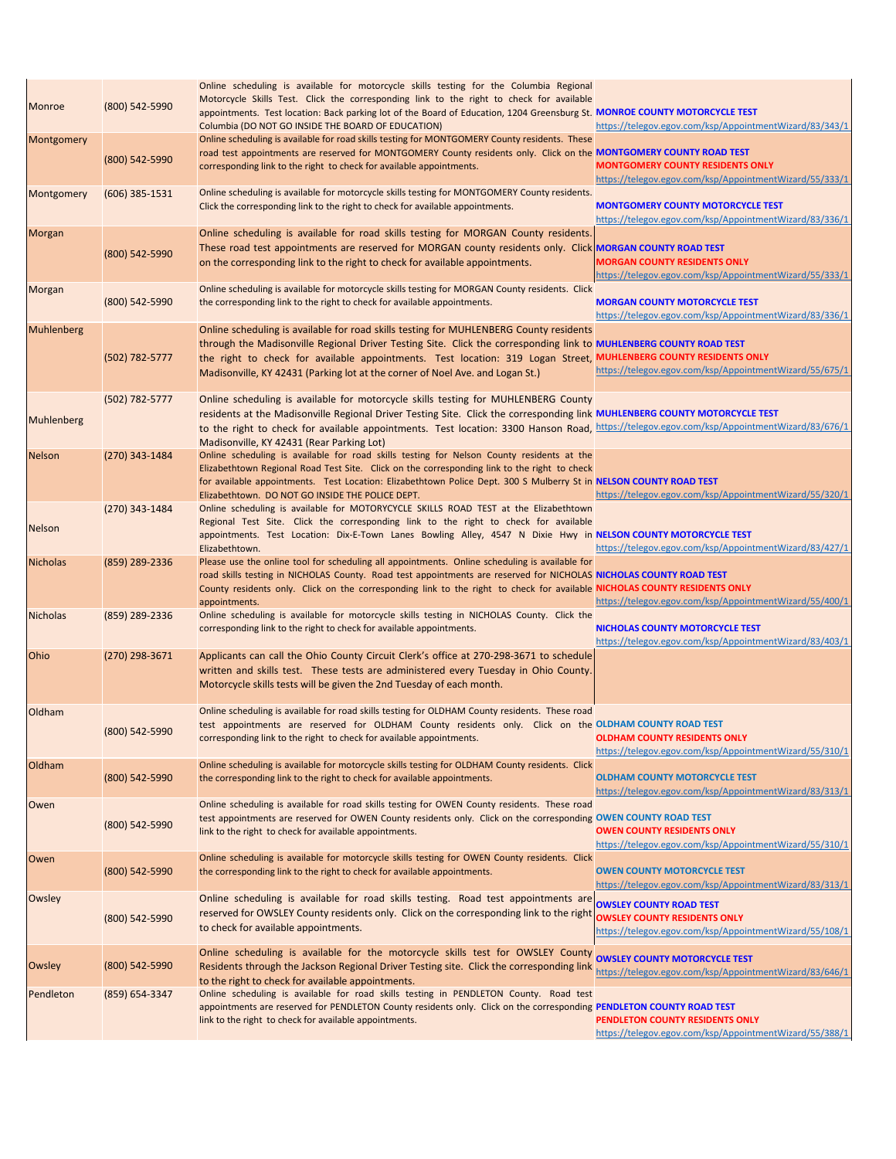| <b>Monroe</b>   | (800) 542-5990   | Online scheduling is available for motorcycle skills testing for the Columbia Regional<br>Motorcycle Skills Test. Click the corresponding link to the right to check for available<br>appointments. Test location: Back parking lot of the Board of Education, 1204 Greensburg St. MONROE COUNTY MOTORCYCLE TEST<br>Columbia (DO NOT GO INSIDE THE BOARD OF EDUCATION)                                            | https://telegov.egov.com/ksp/AppointmentWizard/83/343/1                                             |
|-----------------|------------------|-------------------------------------------------------------------------------------------------------------------------------------------------------------------------------------------------------------------------------------------------------------------------------------------------------------------------------------------------------------------------------------------------------------------|-----------------------------------------------------------------------------------------------------|
| Montgomery      | (800) 542-5990   | Online scheduling is available for road skills testing for MONTGOMERY County residents. These<br>road test appointments are reserved for MONTGOMERY County residents only. Click on the MONTGOMERY COUNTY ROAD TEST<br>corresponding link to the right to check for available appointments.                                                                                                                       | <b>MONTGOMERY COUNTY RESIDENTS ONLY</b><br>https://telegov.egov.com/ksp/AppointmentWizard/55/333/1  |
| Montgomery      | $(606)$ 385-1531 | Online scheduling is available for motorcycle skills testing for MONTGOMERY County residents.<br>Click the corresponding link to the right to check for available appointments.                                                                                                                                                                                                                                   | <b>MONTGOMERY COUNTY MOTORCYCLE TEST</b><br>https://telegov.egov.com/ksp/AppointmentWizard/83/336/1 |
| Morgan          | (800) 542-5990   | Online scheduling is available for road skills testing for MORGAN County residents.<br>These road test appointments are reserved for MORGAN county residents only. Click MORGAN COUNTY ROAD TEST<br>on the corresponding link to the right to check for available appointments.                                                                                                                                   | <b>MORGAN COUNTY RESIDENTS ONLY</b><br>https://telegov.egov.com/ksp/AppointmentWizard/55/333/1      |
| Morgan          | (800) 542-5990   | Online scheduling is available for motorcycle skills testing for MORGAN County residents. Click<br>the corresponding link to the right to check for available appointments.                                                                                                                                                                                                                                       | <b>MORGAN COUNTY MOTORCYCLE TEST</b><br>https://telegov.egov.com/ksp/AppointmentWizard/83/336/1     |
| Muhlenberg      | (502) 782-5777   | Online scheduling is available for road skills testing for MUHLENBERG County residents<br>through the Madisonville Regional Driver Testing Site. Click the corresponding link to MUHLENBERG COUNTY ROAD TEST<br>the right to check for available appointments. Test location: 319 Logan Street, MUHLENBERG COUNTY RESIDENTS ONLY<br>Madisonville, KY 42431 (Parking lot at the corner of Noel Ave. and Logan St.) | https://telegov.egov.com/ksp/AppointmentWizard/55/675/1                                             |
| Muhlenberg      | (502) 782-5777   | Online scheduling is available for motorcycle skills testing for MUHLENBERG County<br>residents at the Madisonville Regional Driver Testing Site. Click the corresponding link MUHLENBERG COUNTY MOTORCYCLE TEST<br>to the right to check for available appointments. Test location: 3300 Hanson Road, https://telegov.egov.com/ksp/AppointmentWizard/83/676/1<br>Madisonville, KY 42431 (Rear Parking Lot)       |                                                                                                     |
| Nelson          | (270) 343-1484   | Online scheduling is available for road skills testing for Nelson County residents at the<br>Elizabethtown Regional Road Test Site. Click on the corresponding link to the right to check<br>for available appointments. Test Location: Elizabethtown Police Dept. 300 S Mulberry St in NELSON COUNTY ROAD TEST<br>Elizabethtown. DO NOT GO INSIDE THE POLICE DEPT.                                               | https://telegov.egov.com/ksp/AppointmentWizard/55/320/1                                             |
| <b>Nelson</b>   | (270) 343-1484   | Online scheduling is available for MOTORYCYCLE SKILLS ROAD TEST at the Elizabethtown<br>Regional Test Site. Click the corresponding link to the right to check for available<br>appointments. Test Location: Dix-E-Town Lanes Bowling Alley, 4547 N Dixie Hwy in NELSON COUNTY MOTORCYCLE TEST<br>Elizabethtown.                                                                                                  | https://telegov.egov.com/ksp/AppointmentWizard/83/427/1                                             |
| <b>Nicholas</b> | (859) 289-2336   | Please use the online tool for scheduling all appointments. Online scheduling is available for<br>road skills testing in NICHOLAS County. Road test appointments are reserved for NICHOLAS NICHOLAS COUNTY ROAD TEST<br>County residents only. Click on the corresponding link to the right to check for available NICHOLAS COUNTY RESIDENTS ONLY<br>appointments.                                                | https://telegov.egov.com/ksp/AppointmentWizard/55/400/1                                             |
| <b>Nicholas</b> | (859) 289-2336   | Online scheduling is available for motorcycle skills testing in NICHOLAS County. Click the<br>corresponding link to the right to check for available appointments.                                                                                                                                                                                                                                                | NICHOLAS COUNTY MOTORCYCLE TEST<br>https://telegov.egov.com/ksp/AppointmentWizard/83/403/1          |
| Ohio            | (270) 298-3671   | Applicants can call the Ohio County Circuit Clerk's office at 270-298-3671 to schedule<br>written and skills test. These tests are administered every Tuesday in Ohio County.<br>Motorcycle skills tests will be given the 2nd Tuesday of each month.                                                                                                                                                             |                                                                                                     |
| Oldham          | (800) 542-5990   | Online scheduling is available for road skills testing for OLDHAM County residents. These road<br>test appointments are reserved for OLDHAM County residents only. Click on the OLDHAM COUNTY ROAD TEST<br>corresponding link to the right to check for available appointments.                                                                                                                                   | <b>OLDHAM COUNTY RESIDENTS ONLY</b><br>https://telegov.egov.com/ksp/AppointmentWizard/55/310/1      |
| Oldham          | (800) 542-5990   | Online scheduling is available for motorcycle skills testing for OLDHAM County residents. Click<br>the corresponding link to the right to check for available appointments.                                                                                                                                                                                                                                       | <b>OLDHAM COUNTY MOTORCYCLE TEST</b><br>https://telegov.egov.com/ksp/AppointmentWizard/83/313/1     |
| Owen            | (800) 542-5990   | Online scheduling is available for road skills testing for OWEN County residents. These road<br>test appointments are reserved for OWEN County residents only. Click on the corresponding OWEN COUNTY ROAD TEST<br>link to the right to check for available appointments.                                                                                                                                         | <b>OWEN COUNTY RESIDENTS ONLY</b><br>https://telegov.egov.com/ksp/AppointmentWizard/55/310/1        |
| Owen            | (800) 542-5990   | Online scheduling is available for motorcycle skills testing for OWEN County residents. Click<br>the corresponding link to the right to check for available appointments.                                                                                                                                                                                                                                         | <b>OWEN COUNTY MOTORCYCLE TEST</b><br>https://telegov.egov.com/ksp/AppointmentWizard/83/313/1       |
| Owsley          | (800) 542-5990   | Online scheduling is available for road skills testing. Road test appointments are owsLEY COUNTY ROAD TEST<br>reserved for OWSLEY County residents only. Click on the corresponding link to the right<br>to check for available appointments.                                                                                                                                                                     | <b>OWSLEY COUNTY RESIDENTS ONLY</b><br>https://telegov.egov.com/ksp/AppointmentWizard/55/108/1      |
| Owsley          | (800) 542-5990   | Online scheduling is available for the motorcycle skills test for OWSLEY County OWSLEY COUNTY MOTORCYCLE TEST<br>Residents through the Jackson Regional Driver Testing site. Click the corresponding link<br>to the right to check for available appointments.                                                                                                                                                    | https://telegov.egov.com/ksp/AppointmentWizard/83/646/1                                             |
| Pendleton       | $(859)$ 654-3347 | Online scheduling is available for road skills testing in PENDLETON County. Road test<br>appointments are reserved for PENDLETON County residents only. Click on the corresponding PENDLETON COUNTY ROAD TEST<br>link to the right to check for available appointments.                                                                                                                                           | PENDLETON COUNTY RESIDENTS ONLY<br>https://telegov.egov.com/ksp/AppointmentWizard/55/388/1          |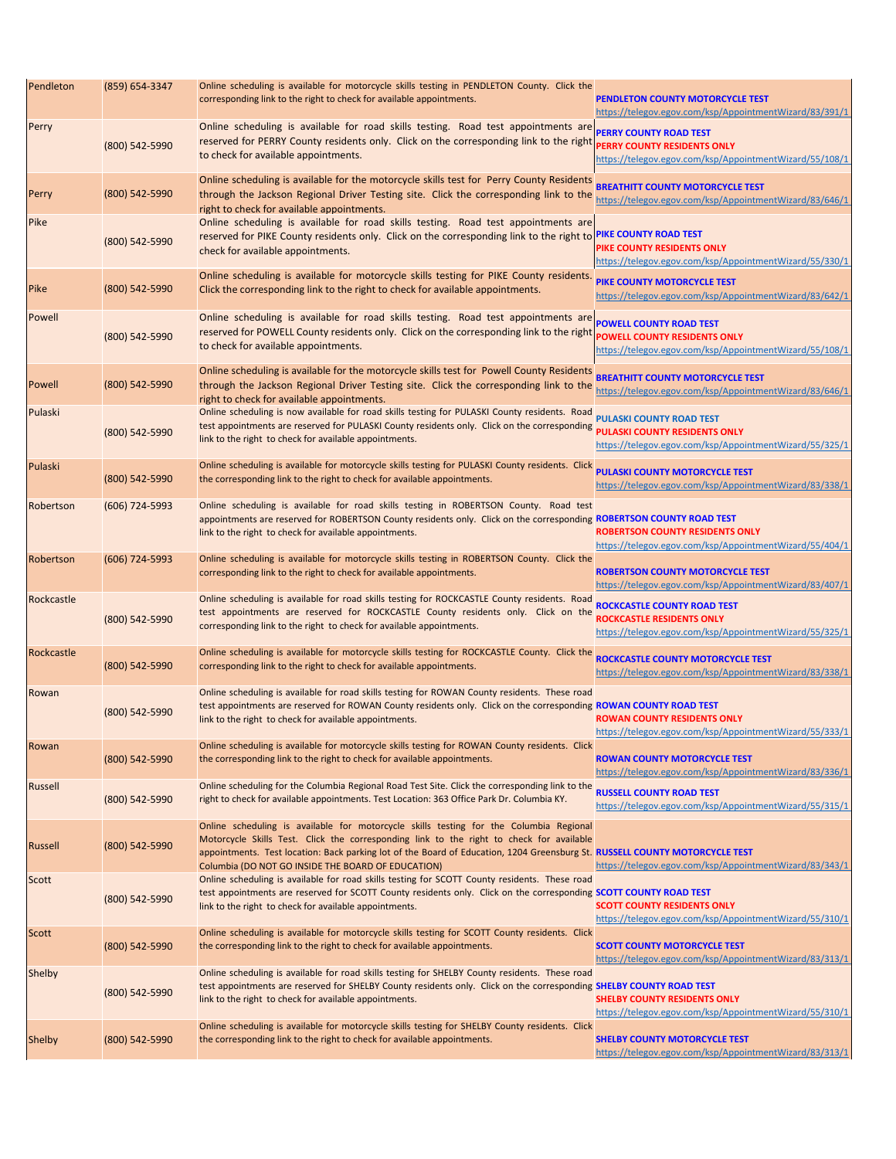| Pendleton      | (859) 654-3347 | Online scheduling is available for motorcycle skills testing in PENDLETON County. Click the<br>corresponding link to the right to check for available appointments.                                                                                                          | <b>PENDLETON COUNTY MOTORCYCLE TEST</b><br>https://telegov.egov.com/ksp/AppointmentWizard/83/391/1                                 |
|----------------|----------------|------------------------------------------------------------------------------------------------------------------------------------------------------------------------------------------------------------------------------------------------------------------------------|------------------------------------------------------------------------------------------------------------------------------------|
| Perry          | (800) 542-5990 | Online scheduling is available for road skills testing. Road test appointments are PERRY COUNTY ROAD TEST<br>reserved for PERRY County residents only. Click on the corresponding link to the right<br>to check for available appointments.                                  | <b>PERRY COUNTY RESIDENTS ONLY</b><br>https://telegov.egov.com/ksp/AppointmentWizard/55/108/1                                      |
| Perry          | (800) 542-5990 | Online scheduling is available for the motorcycle skills test for Perry County Residents<br>through the Jackson Regional Driver Testing site. Click the corresponding link to the<br>right to check for available appointments.                                              | <b>BREATHITT COUNTY MOTORCYCLE TEST</b><br>https://telegov.egov.com/ksp/AppointmentWizard/83/646/1                                 |
| Pike           | (800) 542-5990 | Online scheduling is available for road skills testing. Road test appointments are<br>reserved for PIKE County residents only. Click on the corresponding link to the right to PIKE COUNTY ROAD TEST<br>check for available appointments.                                    | PIKE COUNTY RESIDENTS ONLY<br>https://telegov.egov.com/ksp/AppointmentWizard/55/330/1                                              |
| Pike           | (800) 542-5990 | Online scheduling is available for motorcycle skills testing for PIKE County residents.<br>Click the corresponding link to the right to check for available appointments.                                                                                                    | PIKE COUNTY MOTORCYCLE TEST<br>https://telegov.egov.com/ksp/AppointmentWizard/83/642/1                                             |
| Powell         | (800) 542-5990 | Online scheduling is available for road skills testing. Road test appointments are <b>POWELL COUNTY ROAD TEST</b><br>reserved for POWELL County residents only. Click on the corresponding link to the right<br>to check for available appointments.                         | <b>POWELL COUNTY RESIDENTS ONLY</b><br>https://telegov.egov.com/ksp/AppointmentWizard/55/108/1                                     |
| Powell         | (800) 542-5990 | Online scheduling is available for the motorcycle skills test for Powell County Residents<br>through the Jackson Regional Driver Testing site. Click the corresponding link to the<br>right to check for available appointments.                                             | <b>BREATHITT COUNTY MOTORCYCLE TEST</b><br>https://telegov.egov.com/ksp/AppointmentWizard/83/646/1                                 |
| Pulaski        | (800) 542-5990 | Online scheduling is now available for road skills testing for PULASKI County residents. Road<br>test appointments are reserved for PULASKI County residents only. Click on the corresponding<br>link to the right to check for available appointments.                      | <b>PULASKI COUNTY ROAD TEST</b><br><b>PULASKI COUNTY RESIDENTS ONLY</b><br>https://telegov.egov.com/ksp/AppointmentWizard/55/325/1 |
| Pulaski        | (800) 542-5990 | Online scheduling is available for motorcycle skills testing for PULASKI County residents. Click<br>the corresponding link to the right to check for available appointments.                                                                                                 | <b>PULASKI COUNTY MOTORCYCLE TEST</b><br>https://telegov.egov.com/ksp/AppointmentWizard/83/338/1                                   |
| Robertson      | (606) 724-5993 | Online scheduling is available for road skills testing in ROBERTSON County. Road test<br>appointments are reserved for ROBERTSON County residents only. Click on the corresponding ROBERTSON COUNTY ROAD TEST<br>link to the right to check for available appointments.      | <b>ROBERTSON COUNTY RESIDENTS ONLY</b><br>https://telegov.egov.com/ksp/AppointmentWizard/55/404/1                                  |
| Robertson      | (606) 724-5993 | Online scheduling is available for motorcycle skills testing in ROBERTSON County. Click the<br>corresponding link to the right to check for available appointments.                                                                                                          | <b>ROBERTSON COUNTY MOTORCYCLE TEST</b><br>https://telegov.egov.com/ksp/AppointmentWizard/83/407/1                                 |
| Rockcastle     | (800) 542-5990 | Online scheduling is available for road skills testing for ROCKCASTLE County residents. Road<br>test appointments are reserved for ROCKCASTLE County residents only. Click on the<br>corresponding link to the right to check for available appointments.                    | <b>ROCKCASTLE COUNTY ROAD TEST</b><br><b>ROCKCASTLE RESIDENTS ONLY</b><br>https://telegov.egov.com/ksp/AppointmentWizard/55/325/1  |
| Rockcastle     | (800) 542-5990 | Online scheduling is available for motorcycle skills testing for ROCKCASTLE County. Click the<br>corresponding link to the right to check for available appointments.                                                                                                        | <b>ROCKCASTLE COUNTY MOTORCYCLE TEST</b><br>https://telegov.egov.com/ksp/AppointmentWizard/83/338/1                                |
| Rowan          | (800) 542-5990 | Online scheduling is available for road skills testing for ROWAN County residents. These road<br>test appointments are reserved for ROWAN County residents only. Click on the corresponding ROWAN COUNTY ROAD TEST<br>link to the right to check for available appointments. | <b>ROWAN COUNTY RESIDENTS ONLY</b><br>https://telegov.egov.com/ksp/AppointmentWizard/55/333/1                                      |
| Rowan          | (800) 542-5990 | Online scheduling is available for motorcycle skills testing for ROWAN County residents. Click<br>the corresponding link to the right to check for available appointments.                                                                                                   | <b>ROWAN COUNTY MOTORCYCLE TEST</b><br>https://telegov.egov.com/ksp/AppointmentWizard/83/336/1                                     |
| <b>Russell</b> | (800) 542-5990 | Online scheduling for the Columbia Regional Road Test Site. Click the corresponding link to the<br>right to check for available appointments. Test Location: 363 Office Park Dr. Columbia KY.                                                                                | <b>RUSSELL COUNTY ROAD TEST</b><br>https://telegov.egov.com/ksp/AppointmentWizard/55/315/1                                         |
|                |                | Online scheduling is available for motorcycle skills testing for the Columbia Regional                                                                                                                                                                                       |                                                                                                                                    |

| Russell       | (800) 542-5990 | Motorcycle Skills Test. Click the corresponding link to the right to check for available<br>appointments. Test location: Back parking lot of the Board of Education, 1204 Greensburg St. RUSSELL COUNTY MOTORCYCLE TEST<br>Columbia (DO NOT GO INSIDE THE BOARD OF EDUCATION) | https://telegov.egov.com/ksp/AppointmentWizard/83/343/1 |
|---------------|----------------|-------------------------------------------------------------------------------------------------------------------------------------------------------------------------------------------------------------------------------------------------------------------------------|---------------------------------------------------------|
| Scott         |                | Online scheduling is available for road skills testing for SCOTT County residents. These road                                                                                                                                                                                 |                                                         |
|               | (800) 542-5990 | test appointments are reserved for SCOTT County residents only. Click on the corresponding SCOTT COUNTY ROAD TEST                                                                                                                                                             |                                                         |
|               |                | link to the right to check for available appointments.                                                                                                                                                                                                                        | <b>SCOTT COUNTY RESIDENTS ONLY</b>                      |
|               |                |                                                                                                                                                                                                                                                                               | https://telegov.egov.com/ksp/AppointmentWizard/55/310/1 |
| <b>Scott</b>  |                | Online scheduling is available for motorcycle skills testing for SCOTT County residents. Click                                                                                                                                                                                |                                                         |
|               | (800) 542-5990 | the corresponding link to the right to check for available appointments.                                                                                                                                                                                                      | <b>SCOTT COUNTY MOTORCYCLE TEST</b>                     |
|               |                |                                                                                                                                                                                                                                                                               | https://telegov.egov.com/ksp/AppointmentWizard/83/313/1 |
| Shelby        |                | Online scheduling is available for road skills testing for SHELBY County residents. These road                                                                                                                                                                                |                                                         |
|               |                | test appointments are reserved for SHELBY County residents only. Click on the corresponding SHELBY COUNTY ROAD TEST                                                                                                                                                           |                                                         |
|               | (800) 542-5990 | link to the right to check for available appointments.                                                                                                                                                                                                                        | <b>SHELBY COUNTY RESIDENTS ONLY</b>                     |
|               |                |                                                                                                                                                                                                                                                                               | https://telegov.egov.com/ksp/AppointmentWizard/55/310/1 |
|               |                | Online scheduling is available for motorcycle skills testing for SHELBY County residents. Click                                                                                                                                                                               |                                                         |
| <b>Shelby</b> | (800) 542-5990 | the corresponding link to the right to check for available appointments.                                                                                                                                                                                                      | <b>SHELBY COUNTY MOTORCYCLE TEST</b>                    |
|               |                |                                                                                                                                                                                                                                                                               | https://telegov.egov.com/ksp/AppointmentWizard/83/313/1 |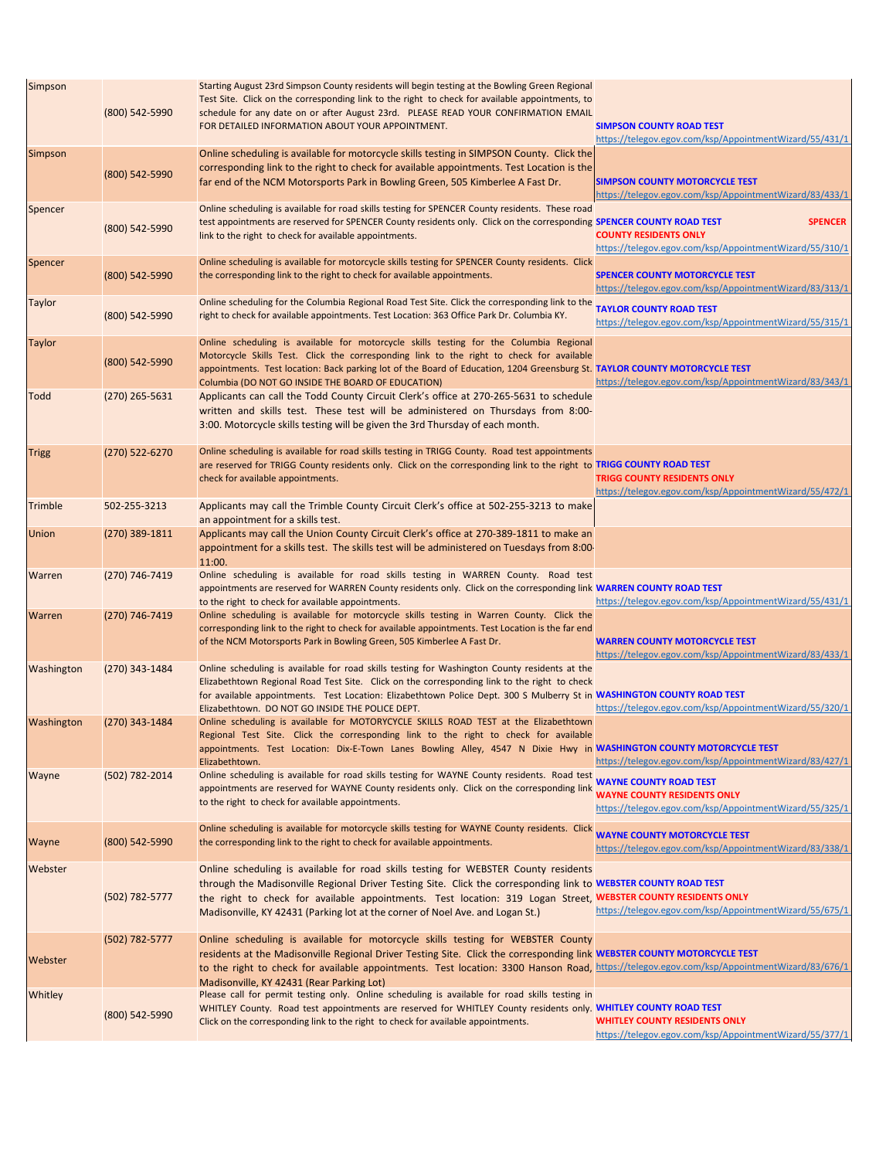| <b>Simpson</b> |                    | Starting August 23rd Simpson County residents will begin testing at the Bowling Green Regional                                                                                                                                            |                                                                                            |
|----------------|--------------------|-------------------------------------------------------------------------------------------------------------------------------------------------------------------------------------------------------------------------------------------|--------------------------------------------------------------------------------------------|
|                | (800) 542-5990     | Test Site. Click on the corresponding link to the right to check for available appointments, to<br>schedule for any date on or after August 23rd. PLEASE READ YOUR CONFIRMATION EMAIL<br>FOR DETAILED INFORMATION ABOUT YOUR APPOINTMENT. | <b>SIMPSON COUNTY ROAD TEST</b><br>https://telegov.egov.com/ksp/AppointmentWizard/55/431/1 |
| <b>Simpson</b> |                    | Online scheduling is available for motorcycle skills testing in SIMPSON County. Click the                                                                                                                                                 |                                                                                            |
|                |                    | corresponding link to the right to check for available appointments. Test Location is the                                                                                                                                                 |                                                                                            |
|                | (800) 542-5990     | far end of the NCM Motorsports Park in Bowling Green, 505 Kimberlee A Fast Dr.                                                                                                                                                            | <b>SIMPSON COUNTY MOTORCYCLE TEST</b>                                                      |
|                |                    |                                                                                                                                                                                                                                           | https://telegov.egov.com/ksp/AppointmentWizard/83/433/1                                    |
| Spencer        |                    | Online scheduling is available for road skills testing for SPENCER County residents. These road                                                                                                                                           |                                                                                            |
|                |                    | test appointments are reserved for SPENCER County residents only. Click on the corresponding SPENCER COUNTY ROAD TEST                                                                                                                     | <b>SPENCER</b>                                                                             |
|                | (800) 542-5990     | link to the right to check for available appointments.                                                                                                                                                                                    | <b>COUNTY RESIDENTS ONLY</b>                                                               |
|                |                    |                                                                                                                                                                                                                                           | https://telegov.egov.com/ksp/AppointmentWizard/55/310/1                                    |
| Spencer        |                    | Online scheduling is available for motorcycle skills testing for SPENCER County residents. Click                                                                                                                                          |                                                                                            |
|                | (800) 542-5990     | the corresponding link to the right to check for available appointments.                                                                                                                                                                  | <b>SPENCER COUNTY MOTORCYCLE TEST</b>                                                      |
|                |                    |                                                                                                                                                                                                                                           | https://telegov.egov.com/ksp/AppointmentWizard/83/313/1                                    |
| <b>Taylor</b>  |                    | Online scheduling for the Columbia Regional Road Test Site. Click the corresponding link to the                                                                                                                                           |                                                                                            |
|                | (800) 542-5990     | right to check for available appointments. Test Location: 363 Office Park Dr. Columbia KY.                                                                                                                                                | <b>TAYLOR COUNTY ROAD TEST</b>                                                             |
|                |                    |                                                                                                                                                                                                                                           | https://telegov.egov.com/ksp/AppointmentWizard/55/315/1                                    |
| <b>Taylor</b>  |                    | Online scheduling is available for motorcycle skills testing for the Columbia Regional                                                                                                                                                    |                                                                                            |
|                |                    | Motorcycle Skills Test. Click the corresponding link to the right to check for available                                                                                                                                                  |                                                                                            |
|                | (800) 542-5990     | appointments. Test location: Back parking lot of the Board of Education, 1204 Greensburg St. TAYLOR COUNTY MOTORCYCLE TEST                                                                                                                |                                                                                            |
|                |                    | Columbia (DO NOT GO INSIDE THE BOARD OF EDUCATION)                                                                                                                                                                                        | https://telegov.egov.com/ksp/AppointmentWizard/83/343/1                                    |
| Todd           | $(270)$ 265-5631   | Applicants can call the Todd County Circuit Clerk's office at 270-265-5631 to schedule                                                                                                                                                    |                                                                                            |
|                |                    |                                                                                                                                                                                                                                           |                                                                                            |
|                |                    | written and skills test. These test will be administered on Thursdays from 8:00-                                                                                                                                                          |                                                                                            |
|                |                    | 3:00. Motorcycle skills testing will be given the 3rd Thursday of each month.                                                                                                                                                             |                                                                                            |
|                |                    |                                                                                                                                                                                                                                           |                                                                                            |
| <b>Trigg</b>   | $(270)$ 522-6270   | Online scheduling is available for road skills testing in TRIGG County. Road test appointments                                                                                                                                            |                                                                                            |
|                |                    | are reserved for TRIGG County residents only. Click on the corresponding link to the right to TRIGG COUNTY ROAD TEST                                                                                                                      |                                                                                            |
|                |                    | check for available appointments.                                                                                                                                                                                                         | <b>TRIGG COUNTY RESIDENTS ONLY</b>                                                         |
|                |                    |                                                                                                                                                                                                                                           | https://telegov.egov.com/ksp/AppointmentWizard/55/472/1                                    |
| Trimble        | 502-255-3213       | Applicants may call the Trimble County Circuit Clerk's office at 502-255-3213 to make                                                                                                                                                     |                                                                                            |
|                |                    | an appointment for a skills test.                                                                                                                                                                                                         |                                                                                            |
| <b>Union</b>   | (270) 389-1811     | Applicants may call the Union County Circuit Clerk's office at 270-389-1811 to make an                                                                                                                                                    |                                                                                            |
|                |                    | appointment for a skills test. The skills test will be administered on Tuesdays from 8:00                                                                                                                                                 |                                                                                            |
|                |                    | 11:00.                                                                                                                                                                                                                                    |                                                                                            |
| <b>Warren</b>  | (270) 746-7419     | Online scheduling is available for road skills testing in WARREN County. Road test                                                                                                                                                        |                                                                                            |
|                |                    | appointments are reserved for WARREN County residents only. Click on the corresponding link WARREN COUNTY ROAD TEST                                                                                                                       |                                                                                            |
|                |                    | to the right to check for available appointments.                                                                                                                                                                                         | https://telegov.egov.com/ksp/AppointmentWizard/55/431/1                                    |
| <b>Warren</b>  | (270) 746-7419     | Online scheduling is available for motorcycle skills testing in Warren County. Click the                                                                                                                                                  |                                                                                            |
|                |                    | corresponding link to the right to check for available appointments. Test Location is the far end                                                                                                                                         |                                                                                            |
|                |                    | of the NCM Motorsports Park in Bowling Green, 505 Kimberlee A Fast Dr.                                                                                                                                                                    | <b>WARREN COUNTY MOTORCYCLE TEST</b>                                                       |
|                |                    |                                                                                                                                                                                                                                           | https://telegov.egov.com/ksp/AppointmentWizard/83/433/1                                    |
| Washington     | $(270)$ 343-1484   | Online scheduling is available for road skills testing for Washington County residents at the                                                                                                                                             |                                                                                            |
|                |                    | Elizabethtown Regional Road Test Site. Click on the corresponding link to the right to check                                                                                                                                              |                                                                                            |
|                |                    | for available appointments. Test Location: Elizabethtown Police Dept. 300 S Mulberry St in WASHINGTON COUNTY ROAD TEST                                                                                                                    |                                                                                            |
|                |                    | Elizabethtown. DO NOT GO INSIDE THE POLICE DEPT.                                                                                                                                                                                          | https://telegov.egov.com/ksp/AppointmentWizard/55/320/1                                    |
| Washington     | (270) 343-1484     | Online scheduling is available for MOTORYCYCLE SKILLS ROAD TEST at the Elizabethtown                                                                                                                                                      |                                                                                            |
|                |                    | Regional Test Site. Click the corresponding link to the right to check for available                                                                                                                                                      |                                                                                            |
|                |                    | appointments. Test Location: Dix-E-Town Lanes Bowling Alley, 4547 N Dixie Hwy in WASHINGTON COUNTY MOTORCYCLE TEST                                                                                                                        |                                                                                            |
|                |                    | Elizabethtown.                                                                                                                                                                                                                            | https://telegov.egov.com/ksp/AppointmentWizard/83/427/1                                    |
| Wayne          | (502) 782-2014     | Online scheduling is available for road skills testing for WAYNE County residents. Road test                                                                                                                                              |                                                                                            |
|                |                    | appointments are reserved for WAYNE County residents only. Click on the corresponding link                                                                                                                                                | <b>WAYNE COUNTY ROAD TEST</b>                                                              |
|                |                    | to the right to check for available appointments.                                                                                                                                                                                         | <b>WAYNE COUNTY RESIDENTS ONLY</b>                                                         |
|                |                    |                                                                                                                                                                                                                                           | https://telegov.egov.com/ksp/AppointmentWizard/55/325/1                                    |
|                |                    | Online scheduling is available for motorcycle skills testing for WAYNE County residents. Click                                                                                                                                            |                                                                                            |
| Wayne          | (800) 542-5990     | the corresponding link to the right to check for available appointments.                                                                                                                                                                  | <b>WAYNE COUNTY MOTORCYCLE TEST</b>                                                        |
|                |                    |                                                                                                                                                                                                                                           | https://telegov.egov.com/ksp/AppointmentWizard/83/338/1                                    |
| Webster        |                    | Online scheduling is available for road skills testing for WEBSTER County residents                                                                                                                                                       |                                                                                            |
|                |                    | through the Madisonville Regional Driver Testing Site. Click the corresponding link to WEBSTER COUNTY ROAD TEST                                                                                                                           |                                                                                            |
|                | $(502) 782 - 5777$ | the right to check for available appointments. Test location: 319 Logan Street, WEBSTER COUNTY RESIDENTS ONLY                                                                                                                             |                                                                                            |
|                |                    | Madisonville, KY 42431 (Parking lot at the corner of Noel Ave. and Logan St.)                                                                                                                                                             | https://telegov.egov.com/ksp/AppointmentWizard/55/675/1                                    |
|                |                    |                                                                                                                                                                                                                                           |                                                                                            |
|                | $(502) 782 - 5777$ | Online scheduling is available for motorcycle skills testing for WEBSTER County                                                                                                                                                           |                                                                                            |
|                |                    | residents at the Madisonville Regional Driver Testing Site. Click the corresponding link WEBSTER COUNTY MOTORCYCLE TEST                                                                                                                   |                                                                                            |
| Webster        |                    |                                                                                                                                                                                                                                           |                                                                                            |
|                |                    | to the right to check for available appointments. Test location: 3300 Hanson Road, https://telegov.egov.com/ksp/AppointmentWizard/83/676/1                                                                                                |                                                                                            |
|                |                    | Madisonville, KY 42431 (Rear Parking Lot)                                                                                                                                                                                                 |                                                                                            |
| Whitley        |                    | Please call for permit testing only. Online scheduling is available for road skills testing in                                                                                                                                            |                                                                                            |
|                | (800) 542-5990     | WHITLEY County. Road test appointments are reserved for WHITLEY County residents only. WHITLEY COUNTY ROAD TEST<br>Click on the corresponding link to the right to check for available appointments.                                      | <b>WHITLEY COUNTY RESIDENTS ONLY</b>                                                       |
|                |                    |                                                                                                                                                                                                                                           | https://telegov.egov.com/ksp/AppointmentWizard/55/377/1                                    |
|                |                    |                                                                                                                                                                                                                                           |                                                                                            |